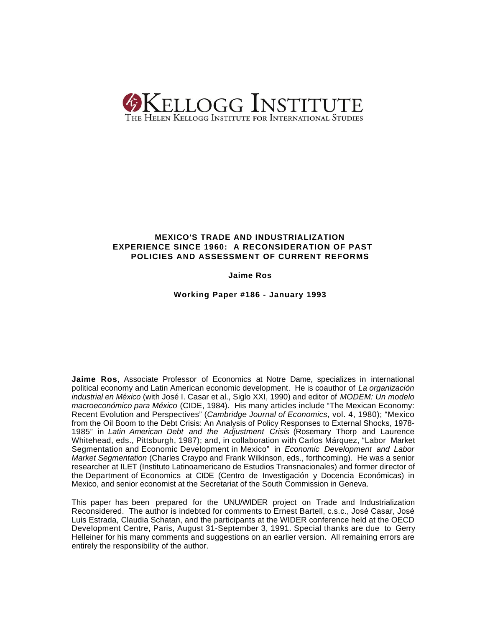

## **MEXICO'S TRADE AND INDUSTRIALIZATION EXPERIENCE SINCE 1960: A RECONSIDERATION OF PAST POLICIES AND ASSESSMENT OF CURRENT REFORMS**

### **Jaime Ros**

**Working Paper #186 - January 1993**

**Jaime Ros**, Associate Professor of Economics at Notre Dame, specializes in international political economy and Latin American economic development. He is coauthor of *La organización industrial en México* (with José I. Casar et al., Siglo XXI, 1990) and editor of *MODEM: Un modelo macroeconómico para México* (CIDE, 1984). His many articles include "The Mexican Economy: Recent Evolution and Perspectives" (*Cambridge Journal of Economics*, vol. 4, 1980); "Mexico from the Oil Boom to the Debt Crisis: An Analysis of Policy Responses to External Shocks, 1978- 1985" in *Latin American Debt and the Adjustment Crisis* (Rosemary Thorp and Laurence Whitehead, eds., Pittsburgh, 1987); and, in collaboration with Carlos Márquez, "Labor Market Segmentation and Economic Development in Mexico" in *Economic Development and Labor Market Segmentation* (Charles Craypo and Frank Wilkinson, eds., forthcoming). He was a senior researcher at ILET (Instituto Latinoamericano de Estudios Transnacionales) and former director of the Department of Economics at CIDE (Centro de Investigación y Docencia Económicas) in Mexico, and senior economist at the Secretariat of the South Commission in Geneva.

This paper has been prepared for the UNU/WIDER project on Trade and Industrialization Reconsidered. The author is indebted for comments to Ernest Bartell, c.s.c., José Casar, José Luis Estrada, Claudia Schatan, and the participants at the WIDER conference held at the OECD Development Centre, Paris, August 31-September 3, 1991. Special thanks are due to Gerry Helleiner for his many comments and suggestions on an earlier version. All remaining errors are entirely the responsibility of the author.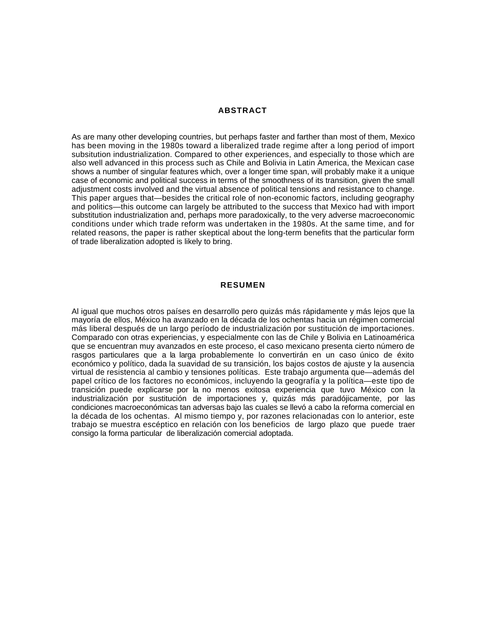### **ABSTRACT**

As are many other developing countries, but perhaps faster and farther than most of them, Mexico has been moving in the 1980s toward a liberalized trade regime after a long period of import subsitution industrialization. Compared to other experiences, and especially to those which are also well advanced in this process such as Chile and Bolivia in Latin America, the Mexican case shows a number of singular features which, over a longer time span, will probably make it a unique case of economic and political success in terms of the smoothness of its transition, given the small adjustment costs involved and the virtual absence of political tensions and resistance to change. This paper argues that—besides the critical role of non-economic factors, including geography and politics—this outcome can largely be attributed to the success that Mexico had with import substitution industrialization and, perhaps more paradoxically, to the very adverse macroeconomic conditions under which trade reform was undertaken in the 1980s. At the same time, and for related reasons, the paper is rather skeptical about the long-term benefits that the particular form of trade liberalization adopted is likely to bring.

#### **RESUMEN**

Al igual que muchos otros países en desarrollo pero quizás más rápidamente y más lejos que la mayoría de ellos, México ha avanzado en la década de los ochentas hacia un régimen comercial más liberal después de un largo período de industrialización por sustitución de importaciones. Comparado con otras experiencias, y especialmente con las de Chile y Bolivia en Latinoamérica que se encuentran muy avanzados en este proceso, el caso mexicano presenta cierto número de rasgos particulares que a la larga probablemente lo convertirán en un caso único de éxito económico y político, dada la suavidad de su transición, los bajos costos de ajuste y la ausencia virtual de resistencia al cambio y tensiones políticas. Este trabajo argumenta que—además del papel crítico de los factores no económicos, incluyendo la geografía y la política—este tipo de transición puede explicarse por la no menos exitosa experiencia que tuvo México con la industrialización por sustitución de importaciones y, quizás más paradójicamente, por las condiciones macroeconómicas tan adversas bajo las cuales se llevó a cabo la reforma comercial en la década de los ochentas. Al mismo tiempo y, por razones relacionadas con lo anterior, este trabajo se muestra escéptico en relación con los beneficios de largo plazo que puede traer consigo la forma particular de liberalización comercial adoptada.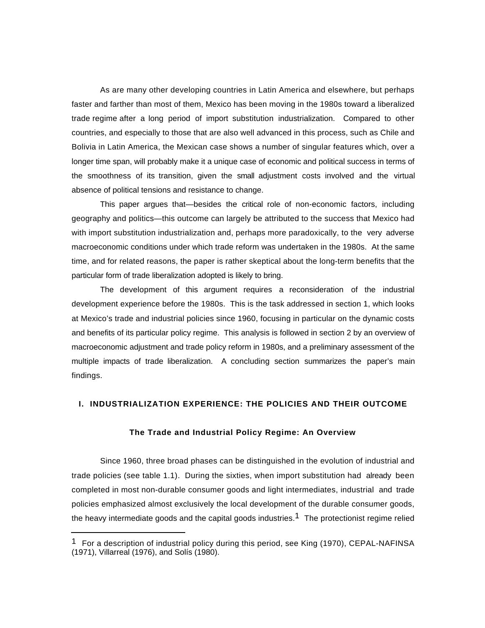As are many other developing countries in Latin America and elsewhere, but perhaps faster and farther than most of them, Mexico has been moving in the 1980s toward a liberalized trade regime after a long period of import substitution industrialization. Compared to other countries, and especially to those that are also well advanced in this process, such as Chile and Bolivia in Latin America, the Mexican case shows a number of singular features which, over a longer time span, will probably make it a unique case of economic and political success in terms of the smoothness of its transition, given the small adjustment costs involved and the virtual absence of political tensions and resistance to change.

This paper argues that—besides the critical role of non-economic factors, including geography and politics—this outcome can largely be attributed to the success that Mexico had with import substitution industrialization and, perhaps more paradoxically, to the very adverse macroeconomic conditions under which trade reform was undertaken in the 1980s. At the same time, and for related reasons, the paper is rather skeptical about the long-term benefits that the particular form of trade liberalization adopted is likely to bring.

The development of this argument requires a reconsideration of the industrial development experience before the 1980s. This is the task addressed in section 1, which looks at Mexico's trade and industrial policies since 1960, focusing in particular on the dynamic costs and benefits of its particular policy regime. This analysis is followed in section 2 by an overview of macroeconomic adjustment and trade policy reform in 1980s, and a preliminary assessment of the multiple impacts of trade liberalization. A concluding section summarizes the paper's main findings.

### **I. INDUSTRIALIZATION EXPERIENCE: THE POLICIES AND THEIR OUTCOME**

#### **The Trade and Industrial Policy Regime: An Overview**

Since 1960, three broad phases can be distinguished in the evolution of industrial and trade policies (see table 1.1). During the sixties, when import substitution had already been completed in most non-durable consumer goods and light intermediates, industrial and trade policies emphasized almost exclusively the local development of the durable consumer goods, the heavy intermediate goods and the capital goods industries.<sup>1</sup> The protectionist regime relied

<sup>&</sup>lt;sup>1</sup> For a description of industrial policy during this period, see King (1970), CEPAL-NAFINSA (1971), Villarreal (1976), and Solís (1980).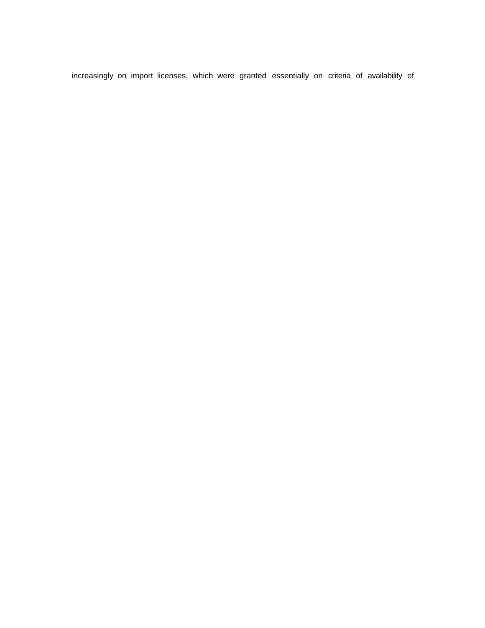increasingly on import licenses, which were granted essentially on criteria of availability of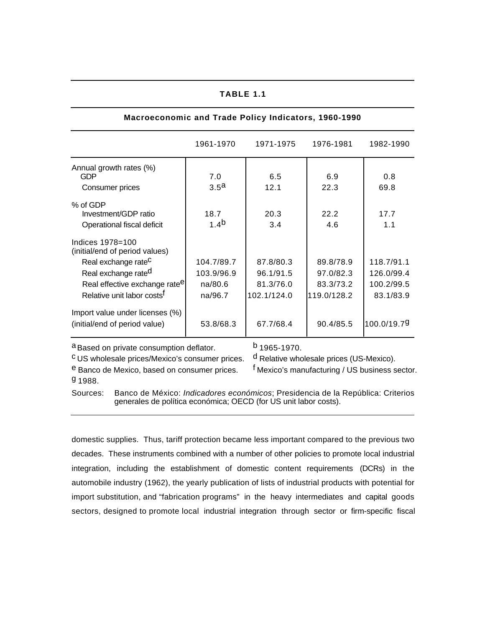|                                                    | 1961-1970        | 1971-1975   | 1976-1981   | 1982-1990   |
|----------------------------------------------------|------------------|-------------|-------------|-------------|
| Annual growth rates (%)                            |                  |             |             |             |
| <b>GDP</b>                                         | 7.0              | 6.5         | 6.9         | 0.8         |
| Consumer prices                                    | 3.5 <sup>a</sup> | 12.1        | 22.3        | 69.8        |
| % of GDP                                           |                  |             |             |             |
| Investment/GDP ratio                               | 18.7             | 20.3        | 22.2        | 17.7        |
| Operational fiscal deficit                         | 1.4 <sup>b</sup> | 3.4         | 4.6         | 1.1         |
| Indices 1978=100<br>(initial/end of period values) |                  |             |             |             |
| Real exchange rate <sup>C</sup>                    | 104.7/89.7       | 87.8/80.3   | 89.8/78.9   | 118.7/91.1  |
| Real exchange rate <sup>d</sup>                    | 103.9/96.9       | 96.1/91.5   | 97.0/82.3   | 126.0/99.4  |
| Real effective exchange rate <sup>e</sup>          | na/80.6          | 81.3/76.0   | 83.3/73.2   | 100.2/99.5  |
| Relative unit labor costs <sup>t</sup>             | na/96.7          | 102.1/124.0 | 119.0/128.2 | 83.1/83.9   |
| Import value under licenses (%)                    |                  |             |             |             |
| (initial/end of period value)                      | 53.8/68.3        | 67.7/68.4   | 90.4/85.5   | 100.0/19.79 |

## **Macroeconomic and Trade Policy Indicators, 1960-1990**

**TABLE 1.1**

a Based on private consumption deflator. b 1965-1970.

 $c$  US wholesale prices/Mexico's consumer prices.  $d$  Relative wholesale prices (US-Mexico).

 $e$  Banco de Mexico, based on consumer prices.  $f$  Mexico's manufacturing / US business sector. g 1988.

Sources: Banco de México: *Indicadores económicos*; Presidencia de la República: Criterios generales de política económica; OECD (for US unit labor costs).

domestic supplies. Thus, tariff protection became less important compared to the previous two decades. These instruments combined with a number of other policies to promote local industrial integration, including the establishment of domestic content requirements (DCRs) in the automobile industry (1962), the yearly publication of lists of industrial products with potential for import substitution, and "fabrication programs" in the heavy intermediates and capital goods sectors, designed to promote local industrial integration through sector or firm-specific fiscal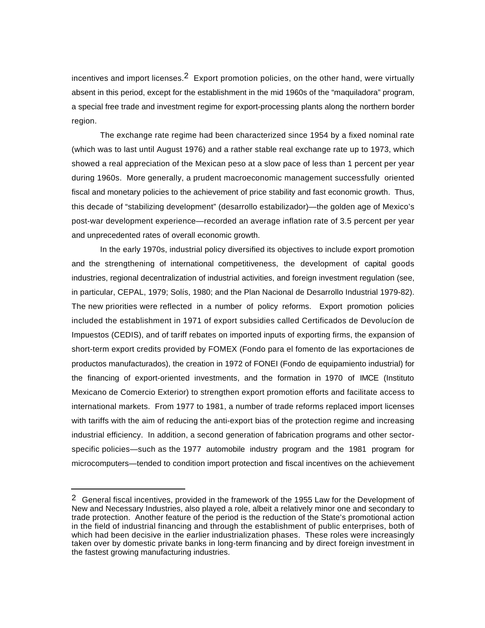incentives and import licenses. $2$  Export promotion policies, on the other hand, were virtually absent in this period, except for the establishment in the mid 1960s of the "maquiladora" program, a special free trade and investment regime for export-processing plants along the northern border region.

The exchange rate regime had been characterized since 1954 by a fixed nominal rate (which was to last until August 1976) and a rather stable real exchange rate up to 1973, which showed a real appreciation of the Mexican peso at a slow pace of less than 1 percent per year during 1960s. More generally, a prudent macroeconomic management successfully oriented fiscal and monetary policies to the achievement of price stability and fast economic growth. Thus, this decade of "stabilizing development" (desarrollo estabilizador)—the golden age of Mexico's post-war development experience—recorded an average inflation rate of 3.5 percent per year and unprecedented rates of overall economic growth.

In the early 1970s, industrial policy diversified its objectives to include export promotion and the strengthening of international competitiveness, the development of capital goods industries, regional decentralization of industrial activities, and foreign investment regulation (see, in particular, CEPAL, 1979; Solís, 1980; and the Plan Nacional de Desarrollo Industrial 1979-82). The new priorities were reflected in a number of policy reforms. Export promotion policies included the establishment in 1971 of export subsidies called Certificados de Devolucíon de Impuestos (CEDIS), and of tariff rebates on imported inputs of exporting firms, the expansion of short-term export credits provided by FOMEX (Fondo para el fomento de las exportaciones de productos manufacturados), the creation in 1972 of FONEI (Fondo de equipamiento industrial) for the financing of export-oriented investments, and the formation in 1970 of IMCE (Instituto Mexicano de Comercio Exterior) to strengthen export promotion efforts and facilitate access to international markets. From 1977 to 1981, a number of trade reforms replaced import licenses with tariffs with the aim of reducing the anti-export bias of the protection regime and increasing industrial efficiency. In addition, a second generation of fabrication programs and other sectorspecific policies—such as the 1977 automobile industry program and the 1981 program for microcomputers—tended to condition import protection and fiscal incentives on the achievement

<sup>2</sup> General fiscal incentives, provided in the framework of the 1955 Law for the Development of New and Necessary Industries, also played a role, albeit a relatively minor one and secondary to trade protection. Another feature of the period is the reduction of the State's promotional action in the field of industrial financing and through the establishment of public enterprises, both of which had been decisive in the earlier industrialization phases. These roles were increasingly taken over by domestic private banks in long-term financing and by direct foreign investment in the fastest growing manufacturing industries.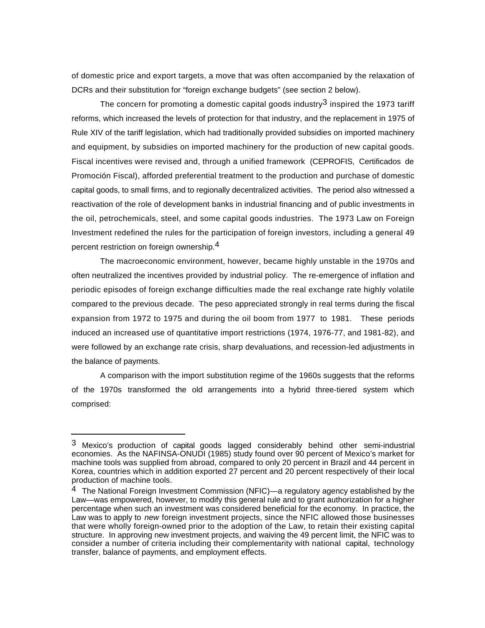of domestic price and export targets, a move that was often accompanied by the relaxation of DCRs and their substitution for "foreign exchange budgets" (see section 2 below).

The concern for promoting a domestic capital goods industry<sup>3</sup> inspired the 1973 tariff reforms, which increased the levels of protection for that industry, and the replacement in 1975 of Rule XIV of the tariff legislation, which had traditionally provided subsidies on imported machinery and equipment, by subsidies on imported machinery for the production of new capital goods. Fiscal incentives were revised and, through a unified framework (CEPROFIS, Certificados de Promoción Fiscal), afforded preferential treatment to the production and purchase of domestic capital goods, to small firms, and to regionally decentralized activities. The period also witnessed a reactivation of the role of development banks in industrial financing and of public investments in the oil, petrochemicals, steel, and some capital goods industries. The 1973 Law on Foreign Investment redefined the rules for the participation of foreign investors, including a general 49 percent restriction on foreign ownership.4

The macroeconomic environment, however, became highly unstable in the 1970s and often neutralized the incentives provided by industrial policy. The re-emergence of inflation and periodic episodes of foreign exchange difficulties made the real exchange rate highly volatile compared to the previous decade. The peso appreciated strongly in real terms during the fiscal expansion from 1972 to 1975 and during the oil boom from 1977 to 1981. These periods induced an increased use of quantitative import restrictions (1974, 1976-77, and 1981-82), and were followed by an exchange rate crisis, sharp devaluations, and recession-led adjustments in the balance of payments.

A comparison with the import substitution regime of the 1960s suggests that the reforms of the 1970s transformed the old arrangements into a hybrid three-tiered system which comprised:

<sup>3</sup> Mexico's production of capital goods lagged considerably behind other semi-industrial economies. As the NAFINSA-ONUDI (1985) study found over 90 percent of Mexico's market for machine tools was supplied from abroad, compared to only 20 percent in Brazil and 44 percent in Korea, countries which in addition exported 27 percent and 20 percent respectively of their local production of machine tools.

<sup>4</sup> The National Foreign Investment Commission (NFIC)—a regulatory agency established by the Law—was empowered, however, to modify this general rule and to grant authorization for a higher percentage when such an investment was considered beneficial for the economy. In practice, the Law was to apply to *new* foreign investment projects, since the NFIC allowed those businesses that were wholly foreign-owned prior to the adoption of the Law, to retain their existing capital structure. In approving new investment projects, and waiving the 49 percent limit, the NFIC was to consider a number of criteria including their complementarity with national capital, technology transfer, balance of payments, and employment effects.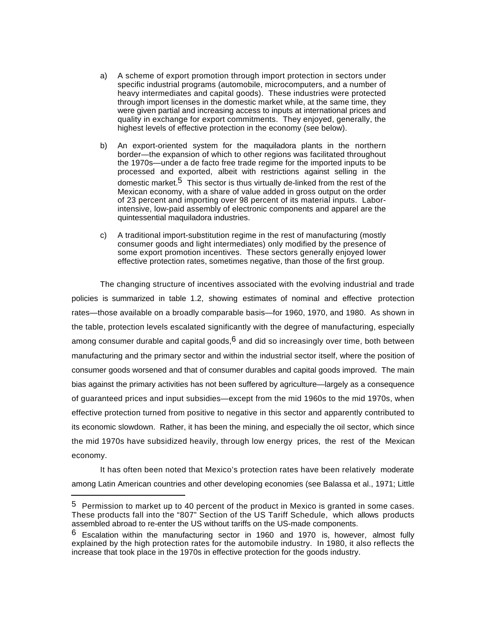- a) A scheme of export promotion through import protection in sectors under specific industrial programs (automobile, microcomputers, and a number of heavy intermediates and capital goods). These industries were protected through import licenses in the domestic market while, at the same time, they were given partial and increasing access to inputs at international prices and quality in exchange for export commitments. They enjoyed, generally, the highest levels of effective protection in the economy (see below).
- b) An export-oriented system for the maquiladora plants in the northern border—the expansion of which to other regions was facilitated throughout the 1970s—under a de facto free trade regime for the imported inputs to be processed and exported, albeit with restrictions against selling in the domestic market.<sup>5</sup> This sector is thus virtually de-linked from the rest of the Mexican economy, with a share of value added in gross output on the order of 23 percent and importing over 98 percent of its material inputs. Laborintensive, low-paid assembly of electronic components and apparel are the quintessential maquiladora industries.
- c) A traditional import-substitution regime in the rest of manufacturing (mostly consumer goods and light intermediates) only modified by the presence of some export promotion incentives. These sectors generally enjoyed lower effective protection rates, sometimes negative, than those of the first group.

The changing structure of incentives associated with the evolving industrial and trade policies is summarized in table 1.2, showing estimates of nominal and effective protection rates—those available on a broadly comparable basis—for 1960, 1970, and 1980. As shown in the table, protection levels escalated significantly with the degree of manufacturing, especially among consumer durable and capital goods,  $6$  and did so increasingly over time, both between manufacturing and the primary sector and within the industrial sector itself, where the position of consumer goods worsened and that of consumer durables and capital goods improved. The main bias against the primary activities has not been suffered by agriculture—largely as a consequence of guaranteed prices and input subsidies—except from the mid 1960s to the mid 1970s, when effective protection turned from positive to negative in this sector and apparently contributed to its economic slowdown. Rather, it has been the mining, and especially the oil sector, which since the mid 1970s have subsidized heavily, through low energy prices, the rest of the Mexican economy.

It has often been noted that Mexico's protection rates have been relatively moderate among Latin American countries and other developing economies (see Balassa et al., 1971; Little

<sup>5</sup> Permission to market up to 40 percent of the product in Mexico is granted in some cases. These products fall into the "807" Section of the US Tariff Schedule, which allows products assembled abroad to re-enter the US without tariffs on the US-made components.

<sup>6</sup> Escalation within the manufacturing sector in 1960 and 1970 is, however, almost fully explained by the high protection rates for the automobile industry. In 1980, it also reflects the increase that took place in the 1970s in effective protection for the goods industry.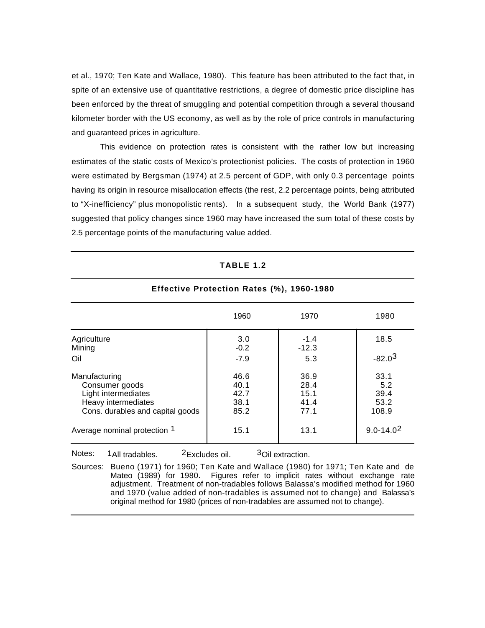et al., 1970; Ten Kate and Wallace, 1980). This feature has been attributed to the fact that, in spite of an extensive use of quantitative restrictions, a degree of domestic price discipline has been enforced by the threat of smuggling and potential competition through a several thousand kilometer border with the US economy, as well as by the role of price controls in manufacturing and guaranteed prices in agriculture.

This evidence on protection rates is consistent with the rather low but increasing estimates of the static costs of Mexico's protectionist policies. The costs of protection in 1960 were estimated by Bergsman (1974) at 2.5 percent of GDP, with only 0.3 percentage points having its origin in resource misallocation effects (the rest, 2.2 percentage points, being attributed to "X-inefficiency" plus monopolistic rents). In a subsequent study, the World Bank (1977) suggested that policy changes since 1960 may have increased the sum total of these costs by 2.5 percentage points of the manufacturing value added.

|                                                                                                                   | 1960                                 | 1970                                 | 1980                                 |
|-------------------------------------------------------------------------------------------------------------------|--------------------------------------|--------------------------------------|--------------------------------------|
| Agriculture<br>Mining                                                                                             | 3.0<br>$-0.2$                        | $-1.4$<br>$-12.3$                    | 18.5                                 |
| Oil                                                                                                               | $-7.9$                               | 5.3                                  | $-82.03$                             |
| Manufacturing<br>Consumer goods<br>Light intermediates<br>Heavy intermediates<br>Cons. durables and capital goods | 46.6<br>40.1<br>42.7<br>38.1<br>85.2 | 36.9<br>28.4<br>15.1<br>41.4<br>77.1 | 33.1<br>5.2<br>39.4<br>53.2<br>108.9 |
| Average nominal protection 1                                                                                      | 15.1                                 | 13.1                                 | $9.0 - 14.02$                        |
|                                                                                                                   |                                      |                                      |                                      |

#### **TABLE 1.2**

**Effective Protection Rates (%), 1960-1980**

Notes: 1 All tradables. <sup>2</sup>Excludes oil. <sup>3</sup>Oil extraction.

Sources: Bueno (1971) for 1960; Ten Kate and Wallace (1980) for 1971; Ten Kate and de Mateo (1989) for 1980. Figures refer to implicit rates without exchange rate adjustment. Treatment of non-tradables follows Balassa's modified method for 1960 and 1970 (value added of non-tradables is assumed not to change) and Balassa's original method for 1980 (prices of non-tradables are assumed not to change).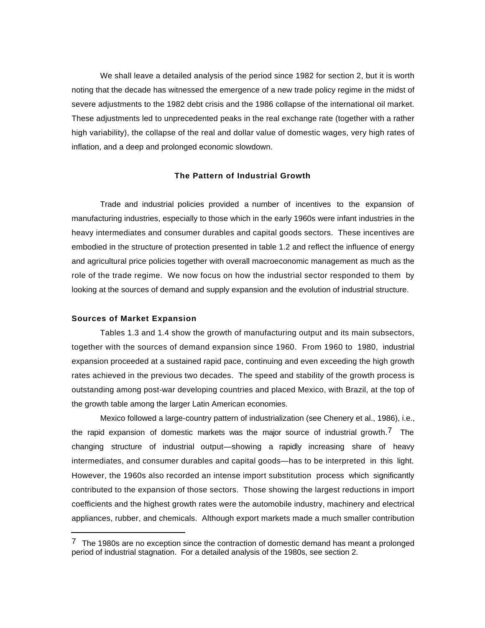We shall leave a detailed analysis of the period since 1982 for section 2, but it is worth noting that the decade has witnessed the emergence of a new trade policy regime in the midst of severe adjustments to the 1982 debt crisis and the 1986 collapse of the international oil market. These adjustments led to unprecedented peaks in the real exchange rate (together with a rather high variability), the collapse of the real and dollar value of domestic wages, very high rates of inflation, and a deep and prolonged economic slowdown.

## **The Pattern of Industrial Growth**

Trade and industrial policies provided a number of incentives to the expansion of manufacturing industries, especially to those which in the early 1960s were infant industries in the heavy intermediates and consumer durables and capital goods sectors. These incentives are embodied in the structure of protection presented in table 1.2 and reflect the influence of energy and agricultural price policies together with overall macroeconomic management as much as the role of the trade regime. We now focus on how the industrial sector responded to them by looking at the sources of demand and supply expansion and the evolution of industrial structure.

#### **Sources of Market Expansion**

l

Tables 1.3 and 1.4 show the growth of manufacturing output and its main subsectors, together with the sources of demand expansion since 1960. From 1960 to 1980, industrial expansion proceeded at a sustained rapid pace, continuing and even exceeding the high growth rates achieved in the previous two decades. The speed and stability of the growth process is outstanding among post-war developing countries and placed Mexico, with Brazil, at the top of the growth table among the larger Latin American economies.

Mexico followed a large-country pattern of industrialization (see Chenery et al., 1986), i.e., the rapid expansion of domestic markets was the major source of industrial growth.<sup>7</sup> The changing structure of industrial output—showing a rapidly increasing share of heavy intermediates, and consumer durables and capital goods—has to be interpreted in this light. However, the 1960s also recorded an intense import substitution process which significantly contributed to the expansion of those sectors. Those showing the largest reductions in import coefficients and the highest growth rates were the automobile industry, machinery and electrical appliances, rubber, and chemicals. Although export markets made a much smaller contribution

 $\frac{7}{1}$  The 1980s are no exception since the contraction of domestic demand has meant a prolonged period of industrial stagnation. For a detailed analysis of the 1980s, see section 2.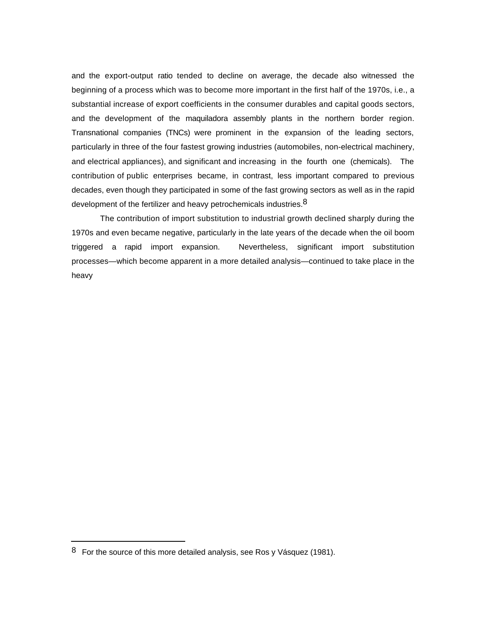and the export-output ratio tended to decline on average, the decade also witnessed the beginning of a process which was to become more important in the first half of the 1970s, i.e., a substantial increase of export coefficients in the consumer durables and capital goods sectors, and the development of the maquiladora assembly plants in the northern border region. Transnational companies (TNCs) were prominent in the expansion of the leading sectors, particularly in three of the four fastest growing industries (automobiles, non-electrical machinery, and electrical appliances), and significant and increasing in the fourth one (chemicals). The contribution of public enterprises became, in contrast, less important compared to previous decades, even though they participated in some of the fast growing sectors as well as in the rapid development of the fertilizer and heavy petrochemicals industries.<sup>8</sup>

The contribution of import substitution to industrial growth declined sharply during the 1970s and even became negative, particularly in the late years of the decade when the oil boom triggered a rapid import expansion. Nevertheless, significant import substitution processes—which become apparent in a more detailed analysis—continued to take place in the heavy

 $8$  For the source of this more detailed analysis, see Ros y Vásquez (1981).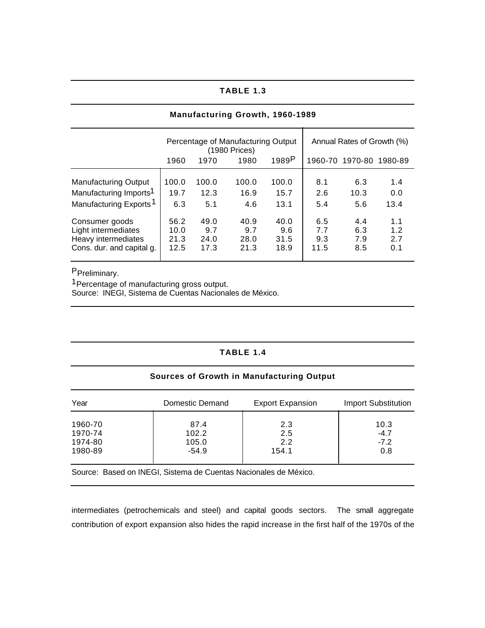## **TABLE 1.3**

## **Manufacturing Growth, 1960-1989**

|                                    | Percentage of Manufacturing Output<br>(1980 Prices) |       |       |       | Annual Rates of Growth (%) |                 |         |
|------------------------------------|-----------------------------------------------------|-------|-------|-------|----------------------------|-----------------|---------|
|                                    | 1960                                                | 1970  | 1980  | 1989P |                            | 1960-70 1970-80 | 1980-89 |
| <b>Manufacturing Output</b>        | 100.0                                               | 100.0 | 100.0 | 100.0 | 8.1                        | 6.3             | 1.4     |
| Manufacturing Imports <sup>1</sup> | 19.7                                                | 12.3  | 16.9  | 15.7  | 2.6                        | 10.3            | 0.0     |
| Manufacturing Exports <sup>1</sup> | 6.3                                                 | 5.1   | 4.6   | 13.1  | 5.4                        | 5.6             | 13.4    |
| Consumer goods                     | 56.2                                                | 49.0  | 40.9  | 40.0  | 6.5                        | 4.4             | 1.1     |
| Light intermediates                | 10.0                                                | 9.7   | 9.7   | 9.6   | 7.7                        | 6.3             | 1.2     |
| Heavy intermediates                | 21.3                                                | 24.0  | 28.0  | 31.5  | 9.3                        | 7.9             | 2.7     |
| Cons. dur. and capital g.          | 12.5                                                | 17.3  | 21.3  | 18.9  | 11.5                       | 8.5             | 0.1     |

PPreliminary.

1Percentage of manufacturing gross output.

Source: INEGI, Sistema de Cuentas Nacionales de México.

## **TABLE 1.4**

## **Sources of Growth in Manufacturing Output**

| Year    | Domestic Demand | <b>Export Expansion</b> | <b>Import Substitution</b> |
|---------|-----------------|-------------------------|----------------------------|
| 1960-70 | 87.4            | 2.3                     | 10.3                       |
| 1970-74 | 102.2           | 2.5                     | $-4.7$                     |
| 1974-80 | 105.0           | 2.2                     | $-7.2$                     |
| 1980-89 | $-54.9$         | 154.1                   | 0.8                        |

Source: Based on INEGI, Sistema de Cuentas Nacionales de México.

intermediates (petrochemicals and steel) and capital goods sectors. The small aggregate contribution of export expansion also hides the rapid increase in the first half of the 1970s of the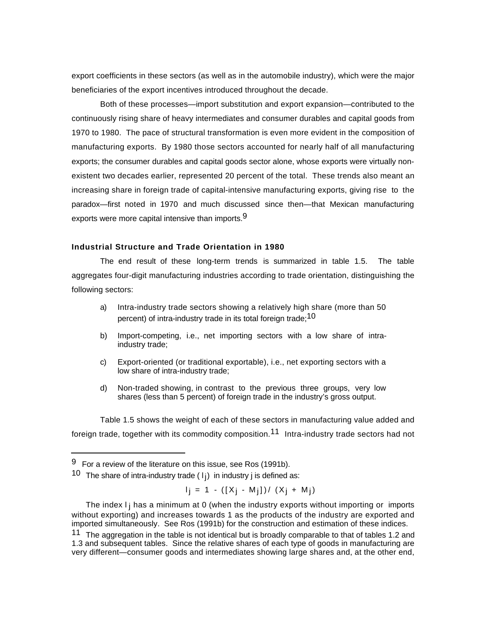export coefficients in these sectors (as well as in the automobile industry), which were the major beneficiaries of the export incentives introduced throughout the decade.

Both of these processes—import substitution and export expansion—contributed to the continuously rising share of heavy intermediates and consumer durables and capital goods from 1970 to 1980. The pace of structural transformation is even more evident in the composition of manufacturing exports. By 1980 those sectors accounted for nearly half of all manufacturing exports; the consumer durables and capital goods sector alone, whose exports were virtually nonexistent two decades earlier, represented 20 percent of the total. These trends also meant an increasing share in foreign trade of capital-intensive manufacturing exports, giving rise to the paradox—first noted in 1970 and much discussed since then—that Mexican manufacturing exports were more capital intensive than imports.<sup>9</sup>

#### **Industrial Structure and Trade Orientation in 1980**

The end result of these long-term trends is summarized in table 1.5. The table aggregates four-digit manufacturing industries according to trade orientation, distinguishing the following sectors:

- a) Intra-industry trade sectors showing a relatively high share (more than 50 percent) of intra-industry trade in its total foreign trade;<sup>10</sup>
- b) Import-competing, i.e., net importing sectors with a low share of intraindustry trade;
- c) Export-oriented (or traditional exportable), i.e., net exporting sectors with a low share of intra-industry trade;
- d) Non-traded showing, in contrast to the previous three groups, very low shares (less than 5 percent) of foreign trade in the industry's gross output.

Table 1.5 shows the weight of each of these sectors in manufacturing value added and foreign trade, together with its commodity composition.<sup>11</sup> Intra-industry trade sectors had not

$$
I_j = 1 - ([X_j - M_j]) / (X_j + M_j)
$$

 $9$  For a review of the literature on this issue, see Ros (1991b).

<sup>10</sup> The share of intra-industry trade  $(1<sub>i</sub>)$  in industry j is defined as:

The index  $I_i$  has a minimum at 0 (when the industry exports without importing or imports without exporting) and increases towards 1 as the products of the industry are exported and imported simultaneously. See Ros (1991b) for the construction and estimation of these indices.

<sup>&</sup>lt;sup>11</sup> The aggregation in the table is not identical but is broadly comparable to that of tables 1.2 and 1.3 and subsequent tables. Since the relative shares of each type of goods in manufacturing are very different—consumer goods and intermediates showing large shares and, at the other end,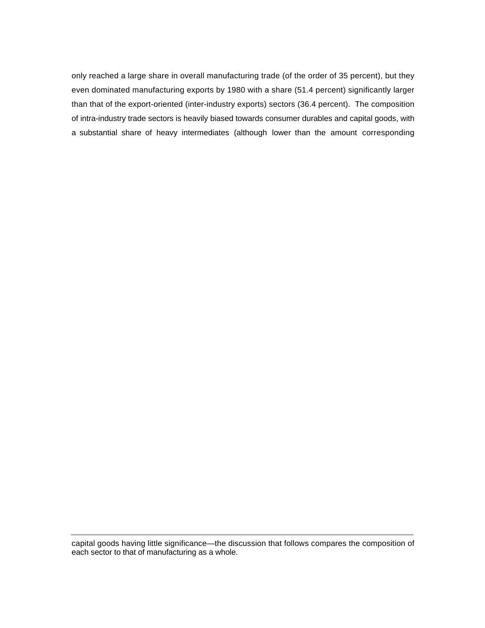only reached a large share in overall manufacturing trade (of the order of 35 percent), but they even dominated manufacturing exports by 1980 with a share (51.4 percent) significantly larger than that of the export-oriented (inter-industry exports) sectors (36.4 percent). The composition of intra-industry trade sectors is heavily biased towards consumer durables and capital goods, with a substantial share of heavy intermediates (although lower than the amount corresponding

capital goods having little significance—the discussion that follows compares the composition of each sector to that of manufacturing as a whole.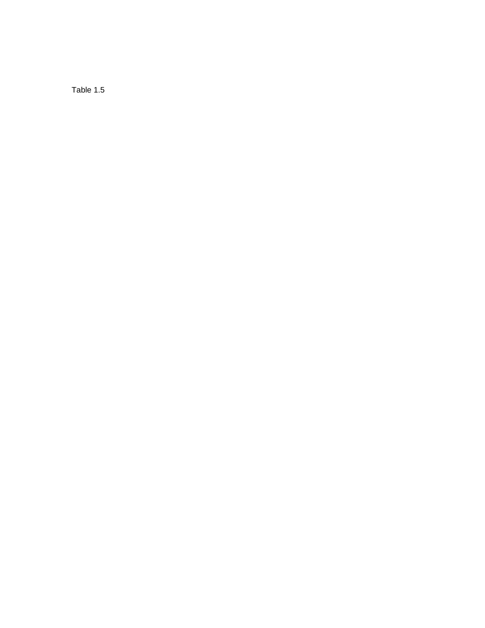Table 1.5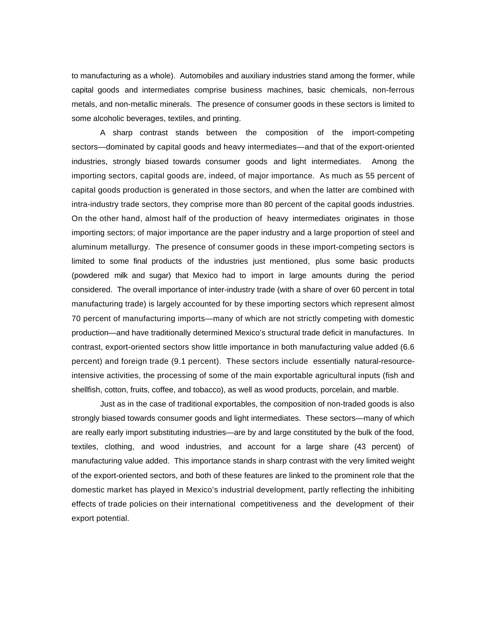to manufacturing as a whole). Automobiles and auxiliary industries stand among the former, while capital goods and intermediates comprise business machines, basic chemicals, non-ferrous metals, and non-metallic minerals. The presence of consumer goods in these sectors is limited to some alcoholic beverages, textiles, and printing.

A sharp contrast stands between the composition of the import-competing sectors—dominated by capital goods and heavy intermediates—and that of the export-oriented industries, strongly biased towards consumer goods and light intermediates. Among the importing sectors, capital goods are, indeed, of major importance. As much as 55 percent of capital goods production is generated in those sectors, and when the latter are combined with intra-industry trade sectors, they comprise more than 80 percent of the capital goods industries. On the other hand, almost half of the production of heavy intermediates originates in those importing sectors; of major importance are the paper industry and a large proportion of steel and aluminum metallurgy. The presence of consumer goods in these import-competing sectors is limited to some final products of the industries just mentioned, plus some basic products (powdered milk and sugar) that Mexico had to import in large amounts during the period considered. The overall importance of inter-industry trade (with a share of over 60 percent in total manufacturing trade) is largely accounted for by these importing sectors which represent almost 70 percent of manufacturing imports—many of which are not strictly competing with domestic production—and have traditionally determined Mexico's structural trade deficit in manufactures. In contrast, export-oriented sectors show little importance in both manufacturing value added (6.6 percent) and foreign trade (9.1 percent). These sectors include essentially natural-resourceintensive activities, the processing of some of the main exportable agricultural inputs (fish and shellfish, cotton, fruits, coffee, and tobacco), as well as wood products, porcelain, and marble.

Just as in the case of traditional exportables, the composition of non-traded goods is also strongly biased towards consumer goods and light intermediates. These sectors—many of which are really early import substituting industries—are by and large constituted by the bulk of the food, textiles, clothing, and wood industries, and account for a large share (43 percent) of manufacturing value added. This importance stands in sharp contrast with the very limited weight of the export-oriented sectors, and both of these features are linked to the prominent role that the domestic market has played in Mexico's industrial development, partly reflecting the inhibiting effects of trade policies on their international competitiveness and the development of their export potential.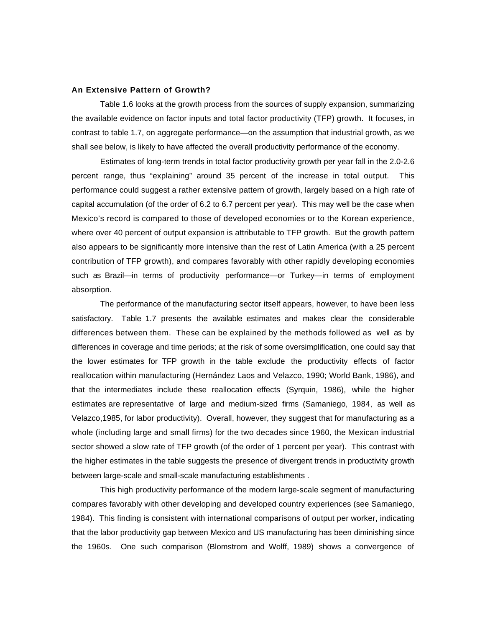#### **An Extensive Pattern of Growth?**

Table 1.6 looks at the growth process from the sources of supply expansion, summarizing the available evidence on factor inputs and total factor productivity (TFP) growth. It focuses, in contrast to table 1.7, on aggregate performance—on the assumption that industrial growth, as we shall see below, is likely to have affected the overall productivity performance of the economy.

Estimates of long-term trends in total factor productivity growth per year fall in the 2.0-2.6 percent range, thus "explaining" around 35 percent of the increase in total output. This performance could suggest a rather extensive pattern of growth, largely based on a high rate of capital accumulation (of the order of 6.2 to 6.7 percent per year). This may well be the case when Mexico's record is compared to those of developed economies or to the Korean experience, where over 40 percent of output expansion is attributable to TFP growth. But the growth pattern also appears to be significantly more intensive than the rest of Latin America (with a 25 percent contribution of TFP growth), and compares favorably with other rapidly developing economies such as Brazil—in terms of productivity performance—or Turkey—in terms of employment absorption.

The performance of the manufacturing sector itself appears, however, to have been less satisfactory. Table 1.7 presents the available estimates and makes clear the considerable differences between them. These can be explained by the methods followed as well as by differences in coverage and time periods; at the risk of some oversimplification, one could say that the lower estimates for TFP growth in the table exclude the productivity effects of factor reallocation within manufacturing (Hernández Laos and Velazco, 1990; World Bank, 1986), and that the intermediates include these reallocation effects (Syrquin, 1986), while the higher estimates are representative of large and medium-sized firms (Samaniego, 1984, as well as Velazco,1985, for labor productivity). Overall, however, they suggest that for manufacturing as a whole (including large and small firms) for the two decades since 1960, the Mexican industrial sector showed a slow rate of TFP growth (of the order of 1 percent per year). This contrast with the higher estimates in the table suggests the presence of divergent trends in productivity growth between large-scale and small-scale manufacturing establishments .

This high productivity performance of the modern large-scale segment of manufacturing compares favorably with other developing and developed country experiences (see Samaniego, 1984). This finding is consistent with international comparisons of output per worker, indicating that the labor productivity gap between Mexico and US manufacturing has been diminishing since the 1960s. One such comparison (Blomstrom and Wolff, 1989) shows a convergence of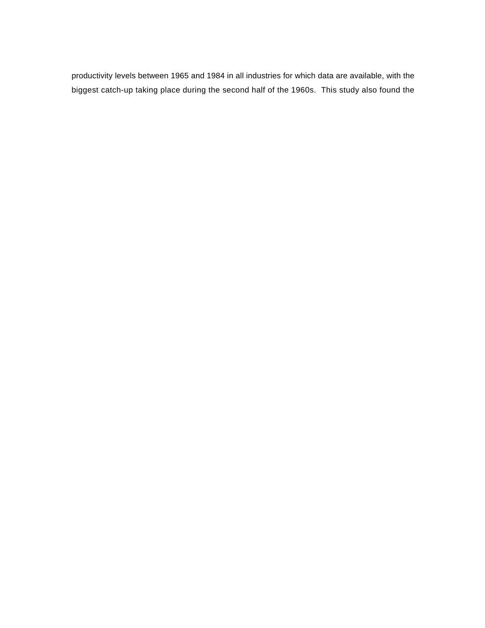productivity levels between 1965 and 1984 in all industries for which data are available, with the biggest catch-up taking place during the second half of the 1960s. This study also found the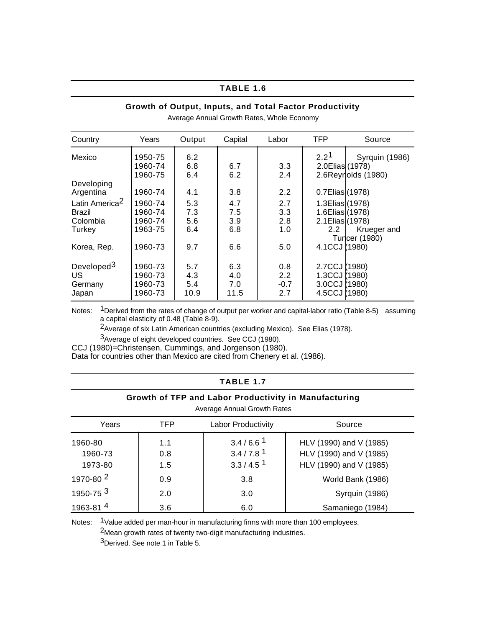## **TABLE 1.6**

#### **Growth of Output, Inputs, and Total Factor Productivity**

| Country                                                                   | Years                                               | Output                          | Capital                         | Labor                           | <b>TFP</b>                                                                          | Source                                  |
|---------------------------------------------------------------------------|-----------------------------------------------------|---------------------------------|---------------------------------|---------------------------------|-------------------------------------------------------------------------------------|-----------------------------------------|
| Mexico                                                                    | 1950-75<br>1960-74<br>1960-75                       | 6.2<br>6.8<br>6.4               | 6.7<br>6.2                      | 3.3<br>2.4                      | 2.2 <sup>1</sup><br>2.0Elias (1978)                                                 | Syrguin (1986)<br>$2.6$ Reynolds (1980) |
| Developing<br>Argentina                                                   | 1960-74                                             | 4.1                             | 3.8                             | 2.2                             | 0.7Elias(1978)                                                                      |                                         |
| Latin America <sup>2</sup><br>Brazil<br>Colombia<br>Turkey<br>Korea, Rep. | 1960-74<br>1960-74<br>1960-74<br>1963-75<br>1960-73 | 5.3<br>7.3<br>5.6<br>6.4<br>9.7 | 4.7<br>7.5<br>3.9<br>6.8<br>6.6 | 2.7<br>3.3<br>2.8<br>1.0<br>5.0 | 1.3Elias(1978)<br>1.6Elias(1978)<br>2.1Elias(1978)<br>$2.2^{\circ}$<br>4.1CCJ(1980) | Krueger and<br>Tuncer (1980)            |
| Developed <sup>3</sup><br>US<br>Germany<br>Japan                          | 1960-73<br>1960-73<br>1960-73<br>1960-73            | 5.7<br>4.3<br>5.4<br>10.9       | 6.3<br>4.0<br>7.0<br>11.5       | 0.8<br>2.2<br>$-0.7$<br>2.7     | 2.7CCJ (1980)<br>1.3 <sub>CJ</sub><br>3.0CCJ (1980)<br>4.5CCJ (1980)                | (1980)                                  |

Average Annual Growth Rates, Whole Economy

Notes: <sup>1</sup>Derived from the rates of change of output per worker and capital-labor ratio (Table 8-5) assuming a capital elasticity of 0.48 (Table 8-9).

2Average of six Latin American countries (excluding Mexico). See Elias (1978).

3Average of eight developed countries. See CCJ (1980).

CCJ (1980)=Christensen, Cummings, and Jorgenson (1980).

Data for countries other than Mexico are cited from Chenery et al. (1986).

## **TABLE 1.7**

## **Growth of TFP and Labor Productivity in Manufacturing**

Average Annual Growth Rates

| Years                         | TFP               | <b>Labor Productivity</b>                                              | Source                                                                        |
|-------------------------------|-------------------|------------------------------------------------------------------------|-------------------------------------------------------------------------------|
| 1960-80<br>1960-73<br>1973-80 | 1.1<br>0.8<br>1.5 | 3.4/6.6 <sup>1</sup><br>3.4/7.8 <sup>1</sup><br>3.3 / 4.5 <sup>1</sup> | HLV (1990) and V (1985)<br>HLV (1990) and V (1985)<br>HLV (1990) and V (1985) |
| 1970-80 <sup>2</sup>          | 0.9               | 3.8                                                                    | World Bank (1986)                                                             |
| $1950 - 753$                  | 2.0               | 3.0                                                                    | Syrguin (1986)                                                                |
| $1963-81$ <sup>4</sup>        | 3.6               | 6.0                                                                    | Samaniego (1984)                                                              |

Notes: <sup>1</sup>Value added per man-hour in manufacturing firms with more than 100 employees.

2Mean growth rates of twenty two-digit manufacturing industries.

3Derived. See note 1 in Table 5.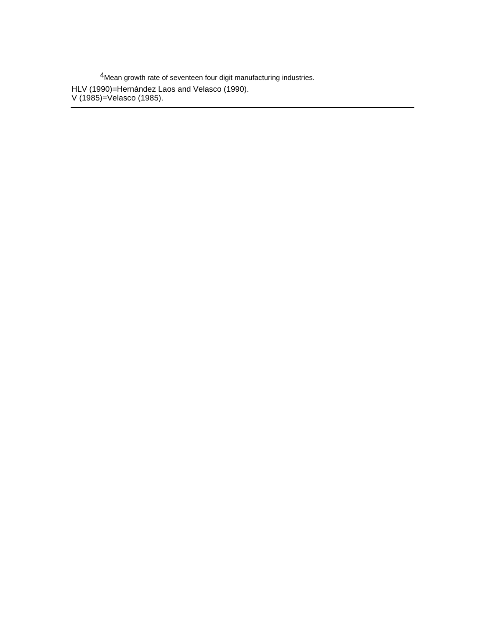4Mean growth rate of seventeen four digit manufacturing industries.

HLV (1990)=Hernández Laos and Velasco (1990). V (1985)=Velasco (1985).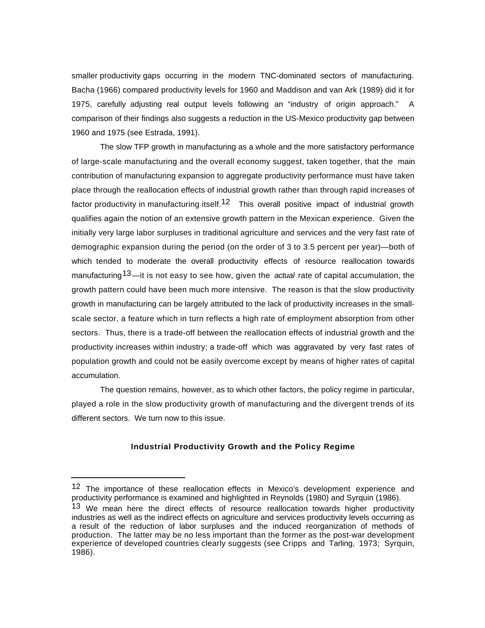smaller productivity gaps occurring in the modern TNC-dominated sectors of manufacturing. Bacha (1966) compared productivity levels for 1960 and Maddison and van Ark (1989) did it for 1975, carefully adjusting real output levels following an "industry of origin approach." A comparison of their findings also suggests a reduction in the US-Mexico productivity gap between 1960 and 1975 (see Estrada, 1991).

The slow TFP growth in manufacturing as a whole and the more satisfactory performance of large-scale manufacturing and the overall economy suggest, taken together, that the main contribution of manufacturing expansion to aggregate productivity performance must have taken place through the reallocation effects of industrial growth rather than through rapid increases of factor productivity in manufacturing itself.<sup>12</sup> This overall positive impact of industrial growth qualifies again the notion of an extensive growth pattern in the Mexican experience. Given the initially very large labor surpluses in traditional agriculture and services and the very fast rate of demographic expansion during the period (on the order of 3 to 3.5 percent per year)—both of which tended to moderate the overall productivity effects of resource reallocation towards manufacturing13—it is not easy to see how, given the *actual* rate of capital accumulation, the growth pattern could have been much more intensive. The reason is that the slow productivity growth in manufacturing can be largely attributed to the lack of productivity increases in the smallscale sector, a feature which in turn reflects a high rate of employment absorption from other sectors. Thus, there is a trade-off between the reallocation effects of industrial growth and the productivity increases within industry; a trade-off which was aggravated by very fast rates of population growth and could not be easily overcome except by means of higher rates of capital accumulation.

The question remains, however, as to which other factors, the policy regime in particular, played a role in the slow productivity growth of manufacturing and the divergent trends of its different sectors. We turn now to this issue.

## **Industrial Productivity Growth and the Policy Regime**

<sup>&</sup>lt;sup>12</sup> The importance of these reallocation effects in Mexico's development experience and productivity performance is examined and highlighted in Reynolds (1980) and Syrquin (1986).

<sup>13</sup> We mean here the direct effects of resource reallocation towards higher productivity industries as well as the indirect effects on agriculture and services productivity levels occurring as a result of the reduction of labor surpluses and the induced reorganization of methods of production. The latter may be no less important than the former as the post-war development experience of developed countries clearly suggests (see Cripps and Tarling, 1973; Syrquin, 1986).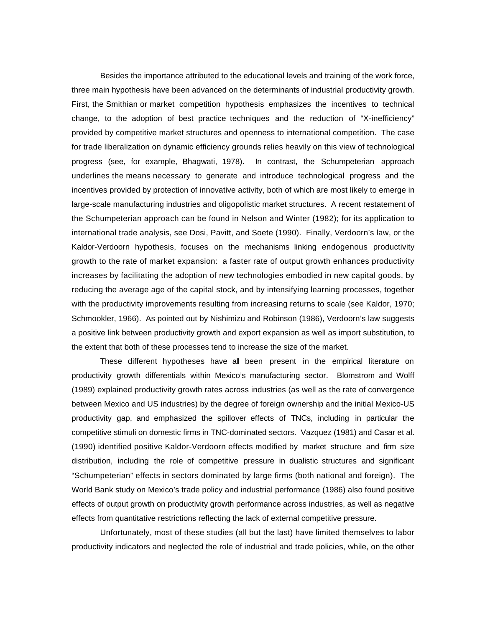Besides the importance attributed to the educational levels and training of the work force, three main hypothesis have been advanced on the determinants of industrial productivity growth. First, the Smithian or market competition hypothesis emphasizes the incentives to technical change, to the adoption of best practice techniques and the reduction of "X-inefficiency" provided by competitive market structures and openness to international competition. The case for trade liberalization on dynamic efficiency grounds relies heavily on this view of technological progress (see, for example, Bhagwati, 1978). In contrast, the Schumpeterian approach underlines the means necessary to generate and introduce technological progress and the incentives provided by protection of innovative activity, both of which are most likely to emerge in large-scale manufacturing industries and oligopolistic market structures. A recent restatement of the Schumpeterian approach can be found in Nelson and Winter (1982); for its application to international trade analysis, see Dosi, Pavitt, and Soete (1990). Finally, Verdoorn's law, or the Kaldor-Verdoorn hypothesis, focuses on the mechanisms linking endogenous productivity growth to the rate of market expansion: a faster rate of output growth enhances productivity increases by facilitating the adoption of new technologies embodied in new capital goods, by reducing the average age of the capital stock, and by intensifying learning processes, together with the productivity improvements resulting from increasing returns to scale (see Kaldor, 1970; Schmookler, 1966). As pointed out by Nishimizu and Robinson (1986), Verdoorn's law suggests a positive link between productivity growth and export expansion as well as import substitution, to the extent that both of these processes tend to increase the size of the market.

These different hypotheses have all been present in the empirical literature on productivity growth differentials within Mexico's manufacturing sector. Blomstrom and Wolff (1989) explained productivity growth rates across industries (as well as the rate of convergence between Mexico and US industries) by the degree of foreign ownership and the initial Mexico-US productivity gap, and emphasized the spillover effects of TNCs, including in particular the competitive stimuli on domestic firms in TNC-dominated sectors. Vazquez (1981) and Casar et al. (1990) identified positive Kaldor-Verdoorn effects modified by market structure and firm size distribution, including the role of competitive pressure in dualistic structures and significant "Schumpeterian" effects in sectors dominated by large firms (both national and foreign). The World Bank study on Mexico's trade policy and industrial performance (1986) also found positive effects of output growth on productivity growth performance across industries, as well as negative effects from quantitative restrictions reflecting the lack of external competitive pressure.

Unfortunately, most of these studies (all but the last) have limited themselves to labor productivity indicators and neglected the role of industrial and trade policies, while, on the other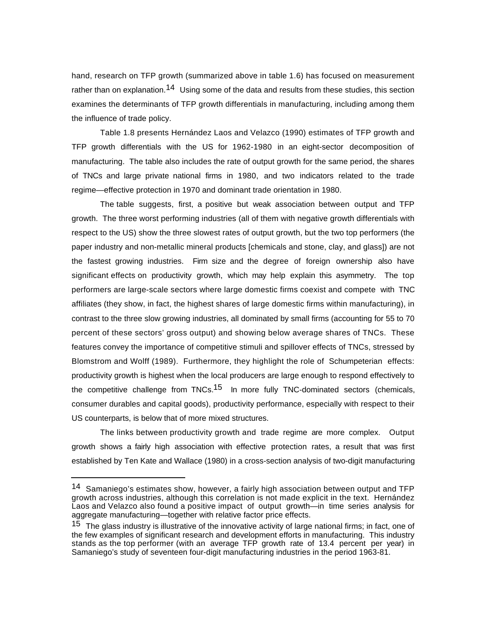hand, research on TFP growth (summarized above in table 1.6) has focused on measurement rather than on explanation.<sup>14</sup> Using some of the data and results from these studies, this section examines the determinants of TFP growth differentials in manufacturing, including among them the influence of trade policy.

Table 1.8 presents Hernández Laos and Velazco (1990) estimates of TFP growth and TFP growth differentials with the US for 1962-1980 in an eight-sector decomposition of manufacturing. The table also includes the rate of output growth for the same period, the shares of TNCs and large private national firms in 1980, and two indicators related to the trade regime—effective protection in 1970 and dominant trade orientation in 1980.

The table suggests, first, a positive but weak association between output and TFP growth. The three worst performing industries (all of them with negative growth differentials with respect to the US) show the three slowest rates of output growth, but the two top performers (the paper industry and non-metallic mineral products [chemicals and stone, clay, and glass]) are not the fastest growing industries. Firm size and the degree of foreign ownership also have significant effects on productivity growth, which may help explain this asymmetry. The top performers are large-scale sectors where large domestic firms coexist and compete with TNC affiliates (they show, in fact, the highest shares of large domestic firms within manufacturing), in contrast to the three slow growing industries, all dominated by small firms (accounting for 55 to 70 percent of these sectors' gross output) and showing below average shares of TNCs. These features convey the importance of competitive stimuli and spillover effects of TNCs, stressed by Blomstrom and Wolff (1989). Furthermore, they highlight the role of Schumpeterian effects: productivity growth is highest when the local producers are large enough to respond effectively to the competitive challenge from TNCs.<sup>15</sup> In more fully TNC-dominated sectors (chemicals, consumer durables and capital goods), productivity performance, especially with respect to their US counterparts, is below that of more mixed structures.

The links between productivity growth and trade regime are more complex. Output growth shows a fairly high association with effective protection rates, a result that was first established by Ten Kate and Wallace (1980) in a cross-section analysis of two-digit manufacturing

<sup>14</sup> Samaniego's estimates show, however, a fairly high association between output and TFP growth across industries, although this correlation is not made explicit in the text. Hernández Laos and Velazco also found a positive impact of output growth—in time series analysis for aggregate manufacturing—together with relative factor price effects.

<sup>15</sup> The glass industry is illustrative of the innovative activity of large national firms; in fact, one of the few examples of significant research and development efforts in manufacturing. This industry stands as the top performer (with an average TFP growth rate of 13.4 percent per year) in Samaniego's study of seventeen four-digit manufacturing industries in the period 1963-81.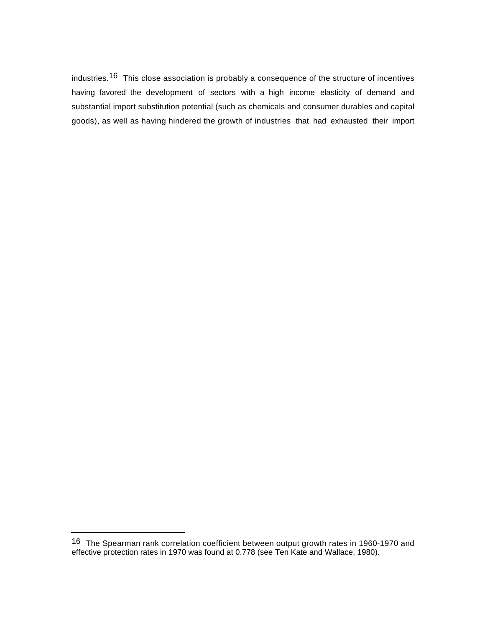industries.<sup>16</sup> This close association is probably a consequence of the structure of incentives having favored the development of sectors with a high income elasticity of demand and substantial import substitution potential (such as chemicals and consumer durables and capital goods), as well as having hindered the growth of industries that had exhausted their import

<sup>&</sup>lt;sup>16</sup> The Spearman rank correlation coefficient between output growth rates in 1960-1970 and effective protection rates in 1970 was found at 0.778 (see Ten Kate and Wallace, 1980).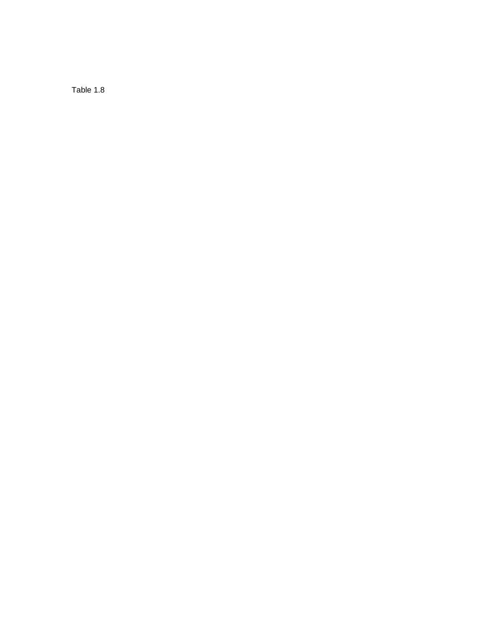Table 1.8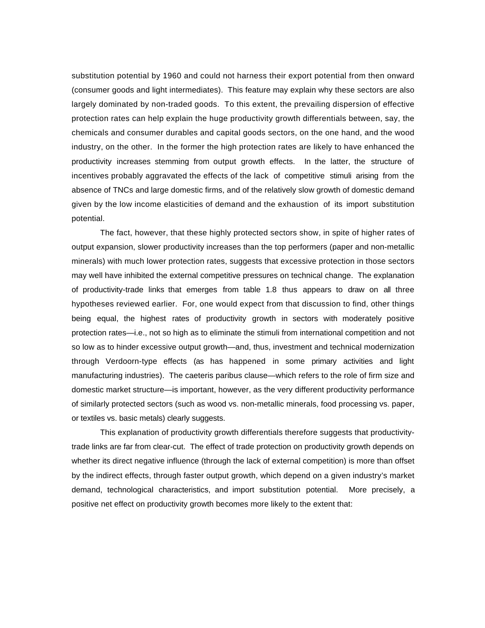substitution potential by 1960 and could not harness their export potential from then onward (consumer goods and light intermediates). This feature may explain why these sectors are also largely dominated by non-traded goods. To this extent, the prevailing dispersion of effective protection rates can help explain the huge productivity growth differentials between, say, the chemicals and consumer durables and capital goods sectors, on the one hand, and the wood industry, on the other. In the former the high protection rates are likely to have enhanced the productivity increases stemming from output growth effects. In the latter, the structure of incentives probably aggravated the effects of the lack of competitive stimuli arising from the absence of TNCs and large domestic firms, and of the relatively slow growth of domestic demand given by the low income elasticities of demand and the exhaustion of its import substitution potential.

The fact, however, that these highly protected sectors show, in spite of higher rates of output expansion, slower productivity increases than the top performers (paper and non-metallic minerals) with much lower protection rates, suggests that excessive protection in those sectors may well have inhibited the external competitive pressures on technical change. The explanation of productivity-trade links that emerges from table 1.8 thus appears to draw on all three hypotheses reviewed earlier. For, one would expect from that discussion to find, other things being equal, the highest rates of productivity growth in sectors with moderately positive protection rates—i.e., not so high as to eliminate the stimuli from international competition and not so low as to hinder excessive output growth—and, thus, investment and technical modernization through Verdoorn-type effects (as has happened in some primary activities and light manufacturing industries). The caeteris paribus clause—which refers to the role of firm size and domestic market structure—is important, however, as the very different productivity performance of similarly protected sectors (such as wood vs. non-metallic minerals, food processing vs. paper, or textiles vs. basic metals) clearly suggests.

This explanation of productivity growth differentials therefore suggests that productivitytrade links are far from clear-cut. The effect of trade protection on productivity growth depends on whether its direct negative influence (through the lack of external competition) is more than offset by the indirect effects, through faster output growth, which depend on a given industry's market demand, technological characteristics, and import substitution potential. More precisely, a positive net effect on productivity growth becomes more likely to the extent that: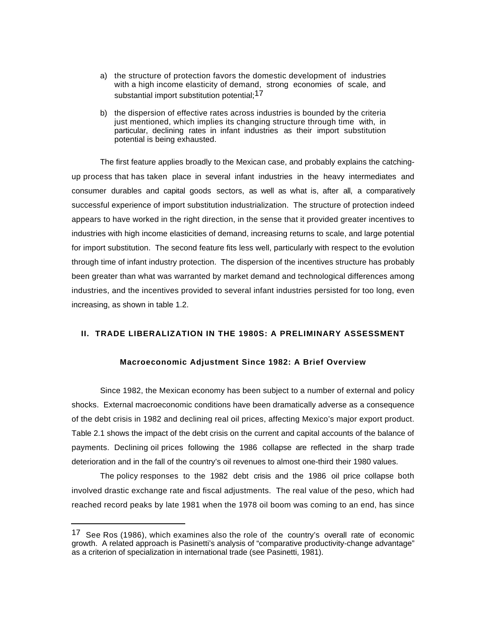- a) the structure of protection favors the domestic development of industries with a high income elasticity of demand, strong economies of scale, and substantial import substitution potential;<sup>17</sup>
- b) the dispersion of effective rates across industries is bounded by the criteria just mentioned, which implies its changing structure through time with, in particular, declining rates in infant industries as their import substitution potential is being exhausted.

The first feature applies broadly to the Mexican case, and probably explains the catchingup process that has taken place in several infant industries in the heavy intermediates and consumer durables and capital goods sectors, as well as what is, after all, a comparatively successful experience of import substitution industrialization. The structure of protection indeed appears to have worked in the right direction, in the sense that it provided greater incentives to industries with high income elasticities of demand, increasing returns to scale, and large potential for import substitution. The second feature fits less well, particularly with respect to the evolution through time of infant industry protection. The dispersion of the incentives structure has probably been greater than what was warranted by market demand and technological differences among industries, and the incentives provided to several infant industries persisted for too long, even increasing, as shown in table 1.2.

### **II. TRADE LIBERALIZATION IN THE 1980S: A PRELIMINARY ASSESSMENT**

### **Macroeconomic Adjustment Since 1982: A Brief Overview**

Since 1982, the Mexican economy has been subject to a number of external and policy shocks. External macroeconomic conditions have been dramatically adverse as a consequence of the debt crisis in 1982 and declining real oil prices, affecting Mexico's major export product. Table 2.1 shows the impact of the debt crisis on the current and capital accounts of the balance of payments. Declining oil prices following the 1986 collapse are reflected in the sharp trade deterioration and in the fall of the country's oil revenues to almost one-third their 1980 values.

The policy responses to the 1982 debt crisis and the 1986 oil price collapse both involved drastic exchange rate and fiscal adjustments. The real value of the peso, which had reached record peaks by late 1981 when the 1978 oil boom was coming to an end, has since

<sup>&</sup>lt;sup>17</sup> See Ros (1986), which examines also the role of the country's overall rate of economic growth. A related approach is Pasinetti's analysis of "comparative productivity-change advantage" as a criterion of specialization in international trade (see Pasinetti, 1981).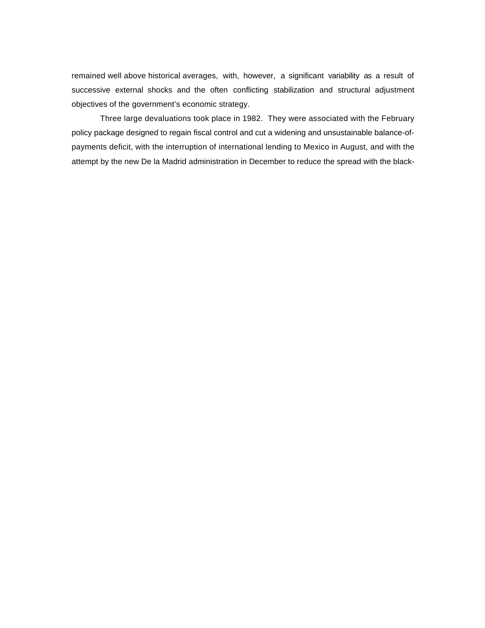remained well above historical averages, with, however, a significant variability as a result of successive external shocks and the often conflicting stabilization and structural adjustment objectives of the government's economic strategy.

Three large devaluations took place in 1982. They were associated with the February policy package designed to regain fiscal control and cut a widening and unsustainable balance-ofpayments deficit, with the interruption of international lending to Mexico in August, and with the attempt by the new De la Madrid administration in December to reduce the spread with the black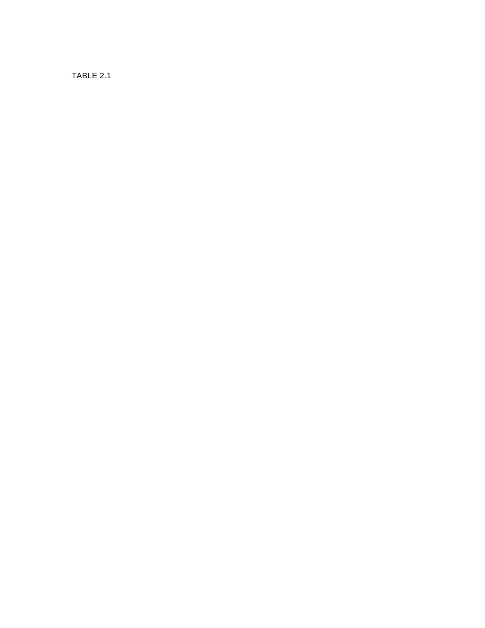TABLE 2.1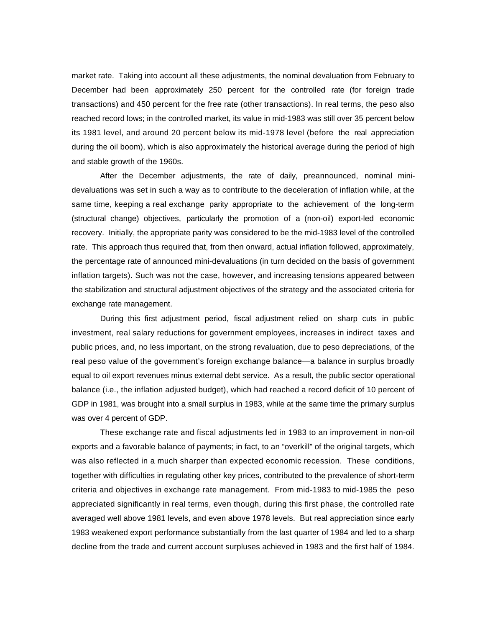market rate. Taking into account all these adjustments, the nominal devaluation from February to December had been approximately 250 percent for the controlled rate (for foreign trade transactions) and 450 percent for the free rate (other transactions). In real terms, the peso also reached record lows; in the controlled market, its value in mid-1983 was still over 35 percent below its 1981 level, and around 20 percent below its mid-1978 level (before the real appreciation during the oil boom), which is also approximately the historical average during the period of high and stable growth of the 1960s.

After the December adjustments, the rate of daily, preannounced, nominal minidevaluations was set in such a way as to contribute to the deceleration of inflation while, at the same time, keeping a real exchange parity appropriate to the achievement of the long-term (structural change) objectives, particularly the promotion of a (non-oil) export-led economic recovery. Initially, the appropriate parity was considered to be the mid-1983 level of the controlled rate. This approach thus required that, from then onward, actual inflation followed, approximately, the percentage rate of announced mini-devaluations (in turn decided on the basis of government inflation targets). Such was not the case, however, and increasing tensions appeared between the stabilization and structural adjustment objectives of the strategy and the associated criteria for exchange rate management.

During this first adjustment period, fiscal adjustment relied on sharp cuts in public investment, real salary reductions for government employees, increases in indirect taxes and public prices, and, no less important, on the strong revaluation, due to peso depreciations, of the real peso value of the government's foreign exchange balance—a balance in surplus broadly equal to oil export revenues minus external debt service. As a result, the public sector operational balance (i.e., the inflation adjusted budget), which had reached a record deficit of 10 percent of GDP in 1981, was brought into a small surplus in 1983, while at the same time the primary surplus was over 4 percent of GDP.

These exchange rate and fiscal adjustments led in 1983 to an improvement in non-oil exports and a favorable balance of payments; in fact, to an "overkill" of the original targets, which was also reflected in a much sharper than expected economic recession. These conditions, together with difficulties in regulating other key prices, contributed to the prevalence of short-term criteria and objectives in exchange rate management. From mid-1983 to mid-1985 the peso appreciated significantly in real terms, even though, during this first phase, the controlled rate averaged well above 1981 levels, and even above 1978 levels. But real appreciation since early 1983 weakened export performance substantially from the last quarter of 1984 and led to a sharp decline from the trade and current account surpluses achieved in 1983 and the first half of 1984.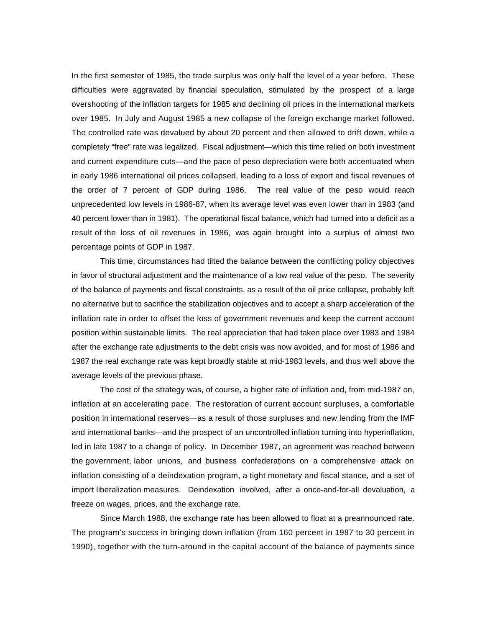In the first semester of 1985, the trade surplus was only half the level of a year before. These difficulties were aggravated by financial speculation, stimulated by the prospect of a large overshooting of the inflation targets for 1985 and declining oil prices in the international markets over 1985. In July and August 1985 a new collapse of the foreign exchange market followed. The controlled rate was devalued by about 20 percent and then allowed to drift down, while a completely "free" rate was legalized. Fiscal adjustment—which this time relied on both investment and current expenditure cuts—and the pace of peso depreciation were both accentuated when in early 1986 international oil prices collapsed, leading to a loss of export and fiscal revenues of the order of 7 percent of GDP during 1986. The real value of the peso would reach unprecedented low levels in 1986-87, when its average level was even lower than in 1983 (and 40 percent lower than in 1981). The operational fiscal balance, which had turned into a deficit as a result of the loss of oil revenues in 1986, was again brought into a surplus of almost two percentage points of GDP in 1987.

This time, circumstances had tilted the balance between the conflicting policy objectives in favor of structural adjustment and the maintenance of a low real value of the peso. The severity of the balance of payments and fiscal constraints, as a result of the oil price collapse, probably left no alternative but to sacrifice the stabilization objectives and to accept a sharp acceleration of the inflation rate in order to offset the loss of government revenues and keep the current account position within sustainable limits. The real appreciation that had taken place over 1983 and 1984 after the exchange rate adjustments to the debt crisis was now avoided, and for most of 1986 and 1987 the real exchange rate was kept broadly stable at mid-1983 levels, and thus well above the average levels of the previous phase.

The cost of the strategy was, of course, a higher rate of inflation and, from mid-1987 on, inflation at an accelerating pace. The restoration of current account surpluses, a comfortable position in international reserves—as a result of those surpluses and new lending from the IMF and international banks—and the prospect of an uncontrolled inflation turning into hyperinflation, led in late 1987 to a change of policy. In December 1987, an agreement was reached between the government, labor unions, and business confederations on a comprehensive attack on inflation consisting of a deindexation program, a tight monetary and fiscal stance, and a set of import liberalization measures. Deindexation involved, after a once-and-for-all devaluation, a freeze on wages, prices, and the exchange rate.

Since March 1988, the exchange rate has been allowed to float at a preannounced rate. The program's success in bringing down inflation (from 160 percent in 1987 to 30 percent in 1990), together with the turn-around in the capital account of the balance of payments since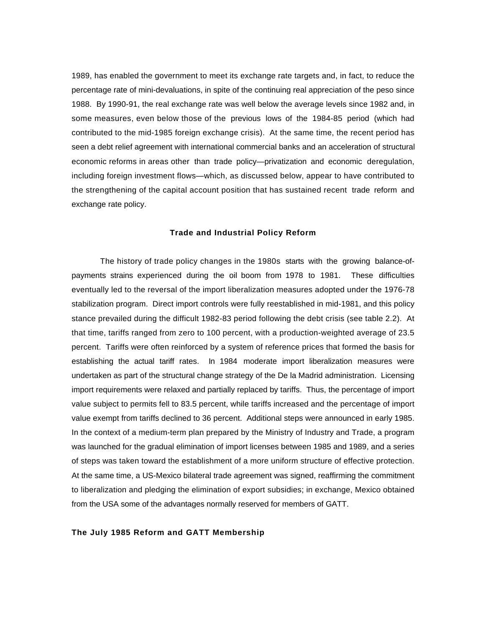1989, has enabled the government to meet its exchange rate targets and, in fact, to reduce the percentage rate of mini-devaluations, in spite of the continuing real appreciation of the peso since 1988. By 1990-91, the real exchange rate was well below the average levels since 1982 and, in some measures, even below those of the previous lows of the 1984-85 period (which had contributed to the mid-1985 foreign exchange crisis). At the same time, the recent period has seen a debt relief agreement with international commercial banks and an acceleration of structural economic reforms in areas other than trade policy—privatization and economic deregulation, including foreign investment flows—which, as discussed below, appear to have contributed to the strengthening of the capital account position that has sustained recent trade reform and exchange rate policy.

#### **Trade and Industrial Policy Reform**

The history of trade policy changes in the 1980s starts with the growing balance-ofpayments strains experienced during the oil boom from 1978 to 1981. These difficulties eventually led to the reversal of the import liberalization measures adopted under the 1976-78 stabilization program. Direct import controls were fully reestablished in mid-1981, and this policy stance prevailed during the difficult 1982-83 period following the debt crisis (see table 2.2). At that time, tariffs ranged from zero to 100 percent, with a production-weighted average of 23.5 percent. Tariffs were often reinforced by a system of reference prices that formed the basis for establishing the actual tariff rates. In 1984 moderate import liberalization measures were undertaken as part of the structural change strategy of the De la Madrid administration. Licensing import requirements were relaxed and partially replaced by tariffs. Thus, the percentage of import value subject to permits fell to 83.5 percent, while tariffs increased and the percentage of import value exempt from tariffs declined to 36 percent. Additional steps were announced in early 1985. In the context of a medium-term plan prepared by the Ministry of Industry and Trade, a program was launched for the gradual elimination of import licenses between 1985 and 1989, and a series of steps was taken toward the establishment of a more uniform structure of effective protection. At the same time, a US-Mexico bilateral trade agreement was signed, reaffirming the commitment to liberalization and pledging the elimination of export subsidies; in exchange, Mexico obtained from the USA some of the advantages normally reserved for members of GATT.

#### **The July 1985 Reform and GATT Membership**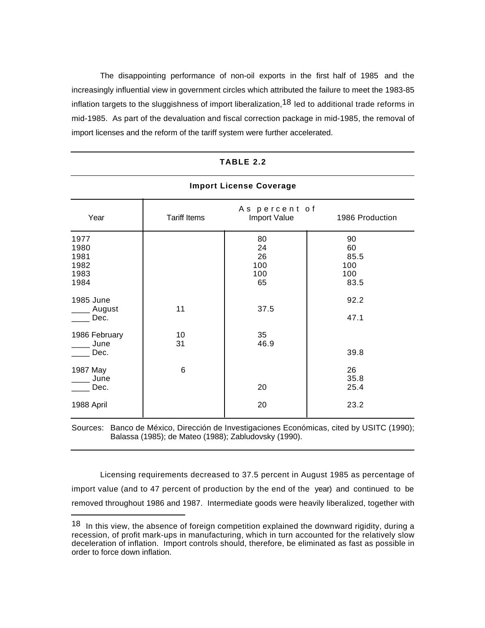The disappointing performance of non-oil exports in the first half of 1985 and the increasingly influential view in government circles which attributed the failure to meet the 1983-85 inflation targets to the sluggishness of import liberalization,  $18$  led to additional trade reforms in mid-1985. As part of the devaluation and fiscal correction package in mid-1985, the removal of import licenses and the reform of the tariff system were further accelerated.

| <b>Import License Coverage</b>               |                     |                                    |                                        |  |  |
|----------------------------------------------|---------------------|------------------------------------|----------------------------------------|--|--|
| Year                                         | <b>Tariff Items</b> | As percent of<br>Import Value      | 1986 Production                        |  |  |
| 1977<br>1980<br>1981<br>1982<br>1983<br>1984 |                     | 80<br>24<br>26<br>100<br>100<br>65 | 90<br>60<br>85.5<br>100<br>100<br>83.5 |  |  |
| 1985 June<br>August<br>Dec.                  | 11                  | 37.5                               | 92.2<br>47.1                           |  |  |
| 1986 February<br>June<br>Dec.                | 10<br>31            | 35<br>46.9                         | 39.8                                   |  |  |
| 1987 May<br>June<br>Dec.                     | 6                   | 20                                 | 26<br>35.8<br>25.4                     |  |  |
| 1988 April                                   |                     | 20                                 | 23.2                                   |  |  |

## **TABLE 2.2**

Sources: Banco de México, Dirección de Investigaciones Económicas, cited by USITC (1990); Balassa (1985); de Mateo (1988); Zabludovsky (1990).

Licensing requirements decreased to 37.5 percent in August 1985 as percentage of import value (and to 47 percent of production by the end of the year) and continued to be removed throughout 1986 and 1987. Intermediate goods were heavily liberalized, together with

 $18$  In this view, the absence of foreign competition explained the downward rigidity, during a recession, of profit mark-ups in manufacturing, which in turn accounted for the relatively slow deceleration of inflation. Import controls should, therefore, be eliminated as fast as possible in order to force down inflation.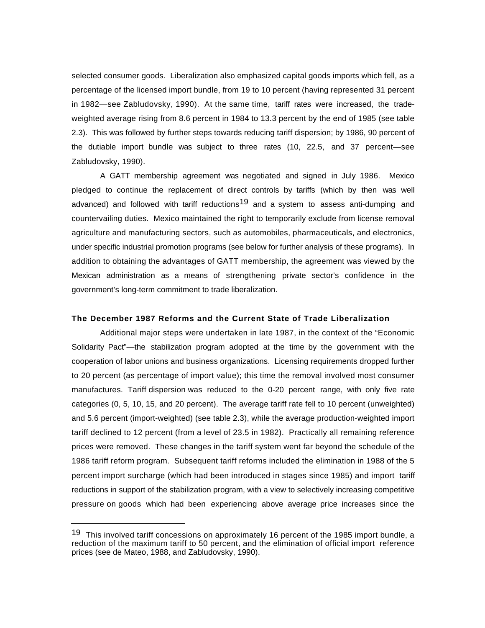selected consumer goods. Liberalization also emphasized capital goods imports which fell, as a percentage of the licensed import bundle, from 19 to 10 percent (having represented 31 percent in 1982—see Zabludovsky, 1990). At the same time, tariff rates were increased, the tradeweighted average rising from 8.6 percent in 1984 to 13.3 percent by the end of 1985 (see table 2.3). This was followed by further steps towards reducing tariff dispersion; by 1986, 90 percent of the dutiable import bundle was subject to three rates (10, 22.5, and 37 percent—see Zabludovsky, 1990).

A GATT membership agreement was negotiated and signed in July 1986. Mexico pledged to continue the replacement of direct controls by tariffs (which by then was well advanced) and followed with tariff reductions<sup>19</sup> and a system to assess anti-dumping and countervailing duties. Mexico maintained the right to temporarily exclude from license removal agriculture and manufacturing sectors, such as automobiles, pharmaceuticals, and electronics, under specific industrial promotion programs (see below for further analysis of these programs). In addition to obtaining the advantages of GATT membership, the agreement was viewed by the Mexican administration as a means of strengthening private sector's confidence in the government's long-term commitment to trade liberalization.

#### **The December 1987 Reforms and the Current State of Trade Liberalization**

Additional major steps were undertaken in late 1987, in the context of the "Economic Solidarity Pact"—the stabilization program adopted at the time by the government with the cooperation of labor unions and business organizations. Licensing requirements dropped further to 20 percent (as percentage of import value); this time the removal involved most consumer manufactures. Tariff dispersion was reduced to the 0-20 percent range, with only five rate categories (0, 5, 10, 15, and 20 percent). The average tariff rate fell to 10 percent (unweighted) and 5.6 percent (import-weighted) (see table 2.3), while the average production-weighted import tariff declined to 12 percent (from a level of 23.5 in 1982). Practically all remaining reference prices were removed. These changes in the tariff system went far beyond the schedule of the 1986 tariff reform program. Subsequent tariff reforms included the elimination in 1988 of the 5 percent import surcharge (which had been introduced in stages since 1985) and import tariff reductions in support of the stabilization program, with a view to selectively increasing competitive pressure on goods which had been experiencing above average price increases since the

<sup>&</sup>lt;sup>19</sup> This involved tariff concessions on approximately 16 percent of the 1985 import bundle, a reduction of the maximum tariff to 50 percent, and the elimination of official import reference prices (see de Mateo, 1988, and Zabludovsky, 1990).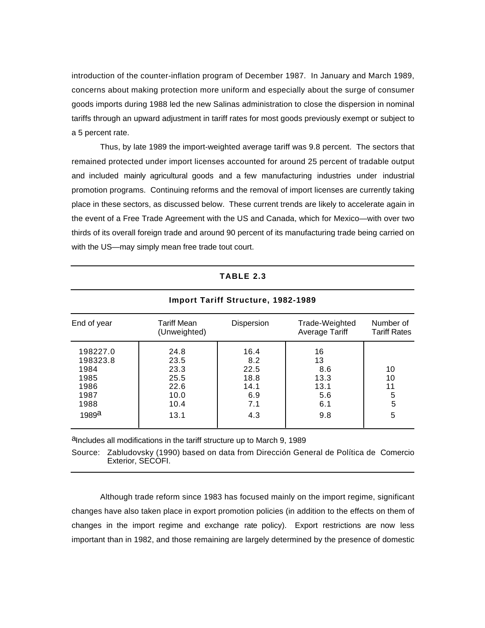introduction of the counter-inflation program of December 1987. In January and March 1989, concerns about making protection more uniform and especially about the surge of consumer goods imports during 1988 led the new Salinas administration to close the dispersion in nominal tariffs through an upward adjustment in tariff rates for most goods previously exempt or subject to a 5 percent rate.

Thus, by late 1989 the import-weighted average tariff was 9.8 percent. The sectors that remained protected under import licenses accounted for around 25 percent of tradable output and included mainly agricultural goods and a few manufacturing industries under industrial promotion programs. Continuing reforms and the removal of import licenses are currently taking place in these sectors, as discussed below. These current trends are likely to accelerate again in the event of a Free Trade Agreement with the US and Canada, which for Mexico—with over two thirds of its overall foreign trade and around 90 percent of its manufacturing trade being carried on with the US—may simply mean free trade tout court.

## **TABLE 2.3**

| End of year | <b>Tariff Mean</b><br>(Unweighted) | Dispersion | Trade-Weighted<br>Average Tariff | Number of<br><b>Tariff Rates</b> |
|-------------|------------------------------------|------------|----------------------------------|----------------------------------|
| 198227.0    | 24.8                               | 16.4       | 16                               |                                  |
| 198323.8    | 23.5                               | 8.2        | 13                               |                                  |
| 1984        | 23.3                               | 22.5       | 8.6                              | 10                               |
| 1985        | 25.5                               | 18.8       | 13.3                             | 10                               |
| 1986        | 22.6                               | 14.1       | 13.1                             | 11                               |
| 1987        | 10.0                               | 6.9        | 5.6                              | $\sqrt{5}$                       |
| 1988        | 10.4                               | 7.1        | 6.1                              | 5                                |
| 1989a       | 13.1                               | 4.3        | 9.8                              | 5                                |

## **Import Tariff Structure, 1982-1989**

aIncludes all modifications in the tariff structure up to March 9, 1989

Source: Zabludovsky (1990) based on data from Dirección General de Política de Comercio Exterior, SECOFI.

Although trade reform since 1983 has focused mainly on the import regime, significant changes have also taken place in export promotion policies (in addition to the effects on them of changes in the import regime and exchange rate policy). Export restrictions are now less important than in 1982, and those remaining are largely determined by the presence of domestic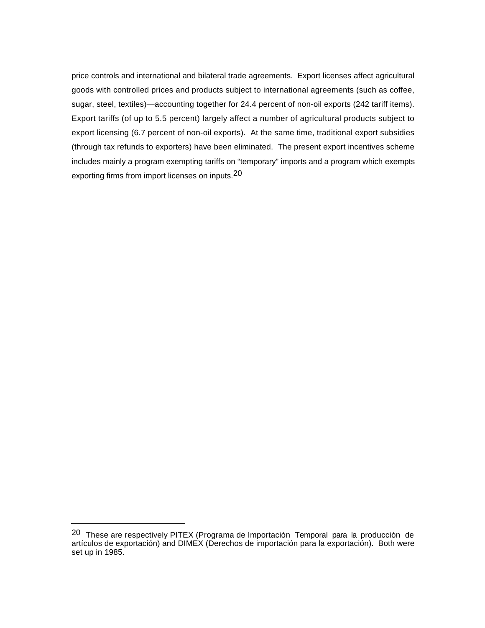price controls and international and bilateral trade agreements. Export licenses affect agricultural goods with controlled prices and products subject to international agreements (such as coffee, sugar, steel, textiles)—accounting together for 24.4 percent of non-oil exports (242 tariff items). Export tariffs (of up to 5.5 percent) largely affect a number of agricultural products subject to export licensing (6.7 percent of non-oil exports). At the same time, traditional export subsidies (through tax refunds to exporters) have been eliminated. The present export incentives scheme includes mainly a program exempting tariffs on "temporary" imports and a program which exempts exporting firms from import licenses on inputs.20

<sup>20</sup> These are respectively PITEX (Programa de Importación Temporal para la producción de artículos de exportación) and DIMEX (Derechos de importación para la exportación). Both were set up in 1985.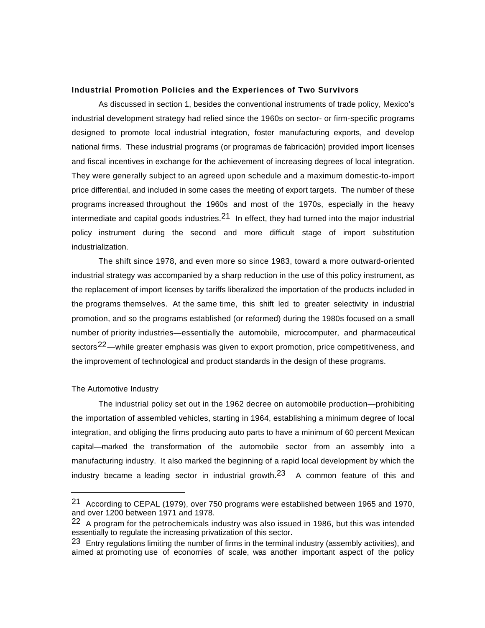#### **Industrial Promotion Policies and the Experiences of Two Survivors**

As discussed in section 1, besides the conventional instruments of trade policy, Mexico's industrial development strategy had relied since the 1960s on sector- or firm-specific programs designed to promote local industrial integration, foster manufacturing exports, and develop national firms. These industrial programs (or programas de fabricación) provided import licenses and fiscal incentives in exchange for the achievement of increasing degrees of local integration. They were generally subject to an agreed upon schedule and a maximum domestic-to-import price differential, and included in some cases the meeting of export targets. The number of these programs increased throughout the 1960s and most of the 1970s, especially in the heavy intermediate and capital goods industries. $21$  In effect, they had turned into the major industrial policy instrument during the second and more difficult stage of import substitution industrialization.

The shift since 1978, and even more so since 1983, toward a more outward-oriented industrial strategy was accompanied by a sharp reduction in the use of this policy instrument, as the replacement of import licenses by tariffs liberalized the importation of the products included in the programs themselves. At the same time, this shift led to greater selectivity in industrial promotion, and so the programs established (or reformed) during the 1980s focused on a small number of priority industries—essentially the automobile, microcomputer, and pharmaceutical sectors<sup>22</sup>—while greater emphasis was given to export promotion, price competitiveness, and the improvement of technological and product standards in the design of these programs.

#### The Automotive Industry

l

The industrial policy set out in the 1962 decree on automobile production—prohibiting the importation of assembled vehicles, starting in 1964, establishing a minimum degree of local integration, and obliging the firms producing auto parts to have a minimum of 60 percent Mexican capital—marked the transformation of the automobile sector from an assembly into a manufacturing industry. It also marked the beginning of a rapid local development by which the industry became a leading sector in industrial growth.<sup>23</sup> A common feature of this and

<sup>21</sup> According to CEPAL (1979), over 750 programs were established between 1965 and 1970, and over 1200 between 1971 and 1978.

 $22$  A program for the petrochemicals industry was also issued in 1986, but this was intended essentially to regulate the increasing privatization of this sector.

<sup>23</sup> Entry regulations limiting the number of firms in the terminal industry (assembly activities), and aimed at promoting use of economies of scale, was another important aspect of the policy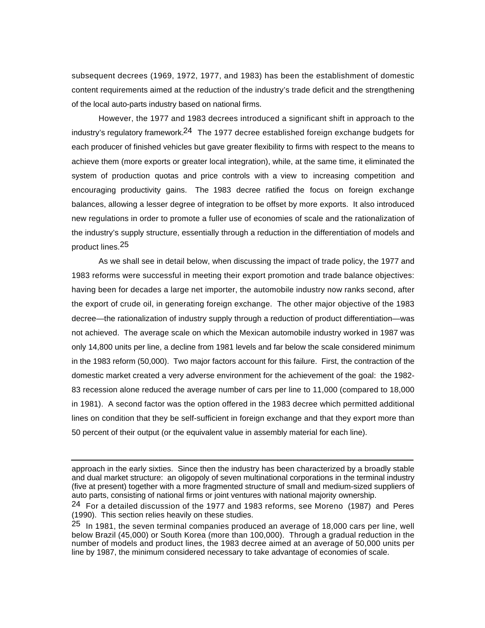subsequent decrees (1969, 1972, 1977, and 1983) has been the establishment of domestic content requirements aimed at the reduction of the industry's trade deficit and the strengthening of the local auto-parts industry based on national firms.

However, the 1977 and 1983 decrees introduced a significant shift in approach to the industry's regulatory framework.<sup>24</sup> The 1977 decree established foreign exchange budgets for each producer of finished vehicles but gave greater flexibility to firms with respect to the means to achieve them (more exports or greater local integration), while, at the same time, it eliminated the system of production quotas and price controls with a view to increasing competition and encouraging productivity gains. The 1983 decree ratified the focus on foreign exchange balances, allowing a lesser degree of integration to be offset by more exports. It also introduced new regulations in order to promote a fuller use of economies of scale and the rationalization of the industry's supply structure, essentially through a reduction in the differentiation of models and product lines.25

As we shall see in detail below, when discussing the impact of trade policy, the 1977 and 1983 reforms were successful in meeting their export promotion and trade balance objectives: having been for decades a large net importer, the automobile industry now ranks second, after the export of crude oil, in generating foreign exchange. The other major objective of the 1983 decree—the rationalization of industry supply through a reduction of product differentiation—was not achieved. The average scale on which the Mexican automobile industry worked in 1987 was only 14,800 units per line, a decline from 1981 levels and far below the scale considered minimum in the 1983 reform (50,000). Two major factors account for this failure. First, the contraction of the domestic market created a very adverse environment for the achievement of the goal: the 1982- 83 recession alone reduced the average number of cars per line to 11,000 (compared to 18,000 in 1981). A second factor was the option offered in the 1983 decree which permitted additional lines on condition that they be self-sufficient in foreign exchange and that they export more than 50 percent of their output (or the equivalent value in assembly material for each line).

approach in the early sixties. Since then the industry has been characterized by a broadly stable and dual market structure: an oligopoly of seven multinational corporations in the terminal industry (five at present) together with a more fragmented structure of small and medium-sized suppliers of auto parts, consisting of national firms or joint ventures with national majority ownership.

<sup>&</sup>lt;sup>24</sup> For a detailed discussion of the 1977 and 1983 reforms, see Moreno (1987) and Peres (1990). This section relies heavily on these studies.

<sup>25</sup> In 1981, the seven terminal companies produced an average of 18,000 cars per line, well below Brazil (45,000) or South Korea (more than 100,000). Through a gradual reduction in the number of models and product lines, the 1983 decree aimed at an average of 50,000 units per line by 1987, the minimum considered necessary to take advantage of economies of scale.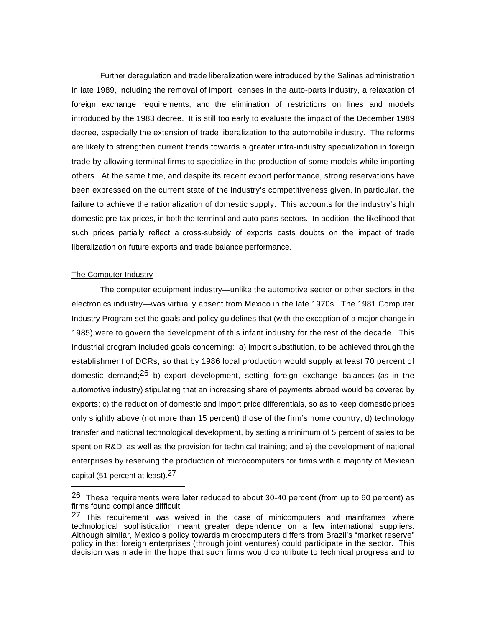Further deregulation and trade liberalization were introduced by the Salinas administration in late 1989, including the removal of import licenses in the auto-parts industry, a relaxation of foreign exchange requirements, and the elimination of restrictions on lines and models introduced by the 1983 decree. It is still too early to evaluate the impact of the December 1989 decree, especially the extension of trade liberalization to the automobile industry. The reforms are likely to strengthen current trends towards a greater intra-industry specialization in foreign trade by allowing terminal firms to specialize in the production of some models while importing others. At the same time, and despite its recent export performance, strong reservations have been expressed on the current state of the industry's competitiveness given, in particular, the failure to achieve the rationalization of domestic supply. This accounts for the industry's high domestic pre-tax prices, in both the terminal and auto parts sectors. In addition, the likelihood that such prices partially reflect a cross-subsidy of exports casts doubts on the impact of trade liberalization on future exports and trade balance performance.

### The Computer Industry

l

The computer equipment industry—unlike the automotive sector or other sectors in the electronics industry—was virtually absent from Mexico in the late 1970s. The 1981 Computer Industry Program set the goals and policy guidelines that (with the exception of a major change in 1985) were to govern the development of this infant industry for the rest of the decade. This industrial program included goals concerning: a) import substitution, to be achieved through the establishment of DCRs, so that by 1986 local production would supply at least 70 percent of domestic demand;26 b) export development, setting foreign exchange balances (as in the automotive industry) stipulating that an increasing share of payments abroad would be covered by exports; c) the reduction of domestic and import price differentials, so as to keep domestic prices only slightly above (not more than 15 percent) those of the firm's home country; d) technology transfer and national technological development, by setting a minimum of 5 percent of sales to be spent on R&D, as well as the provision for technical training; and e) the development of national enterprises by reserving the production of microcomputers for firms with a majority of Mexican capital (51 percent at least).27

 $26$  These requirements were later reduced to about 30-40 percent (from up to 60 percent) as firms found compliance difficult.

<sup>&</sup>lt;sup>27</sup> This requirement was waived in the case of minicomputers and mainframes where technological sophistication meant greater dependence on a few international suppliers. Although similar, Mexico's policy towards microcomputers differs from Brazil's "market reserve" policy in that foreign enterprises (through joint ventures) could participate in the sector. This decision was made in the hope that such firms would contribute to technical progress and to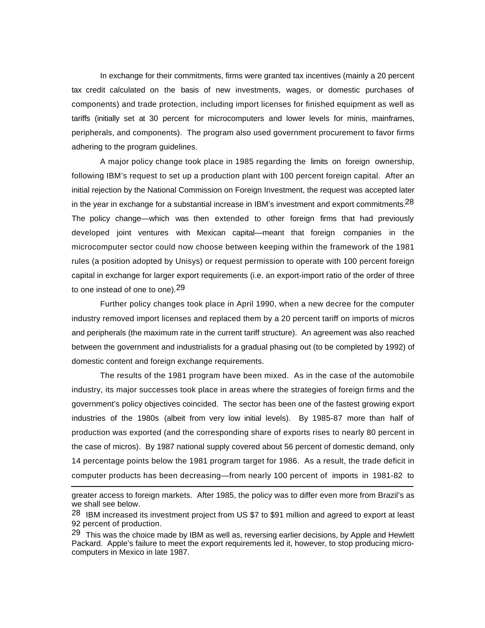In exchange for their commitments, firms were granted tax incentives (mainly a 20 percent tax credit calculated on the basis of new investments, wages, or domestic purchases of components) and trade protection, including import licenses for finished equipment as well as tariffs (initially set at 30 percent for microcomputers and lower levels for minis, mainframes, peripherals, and components). The program also used government procurement to favor firms adhering to the program guidelines.

A major policy change took place in 1985 regarding the limits on foreign ownership, following IBM's request to set up a production plant with 100 percent foreign capital. After an initial rejection by the National Commission on Foreign Investment, the request was accepted later in the year in exchange for a substantial increase in IBM's investment and export commitments.<sup>28</sup> The policy change—which was then extended to other foreign firms that had previously developed joint ventures with Mexican capital—meant that foreign companies in the microcomputer sector could now choose between keeping within the framework of the 1981 rules (a position adopted by Unisys) or request permission to operate with 100 percent foreign capital in exchange for larger export requirements (i.e. an export-import ratio of the order of three to one instead of one to one).<sup>29</sup>

Further policy changes took place in April 1990, when a new decree for the computer industry removed import licenses and replaced them by a 20 percent tariff on imports of micros and peripherals (the maximum rate in the current tariff structure). An agreement was also reached between the government and industrialists for a gradual phasing out (to be completed by 1992) of domestic content and foreign exchange requirements.

The results of the 1981 program have been mixed. As in the case of the automobile industry, its major successes took place in areas where the strategies of foreign firms and the government's policy objectives coincided. The sector has been one of the fastest growing export industries of the 1980s (albeit from very low initial levels). By 1985-87 more than half of production was exported (and the corresponding share of exports rises to nearly 80 percent in the case of micros). By 1987 national supply covered about 56 percent of domestic demand, only 14 percentage points below the 1981 program target for 1986. As a result, the trade deficit in computer products has been decreasing—from nearly 100 percent of imports in 1981-82 to

greater access to foreign markets. After 1985, the policy was to differ even more from Brazil's as we shall see below.

<sup>&</sup>lt;sup>28</sup> IBM increased its investment project from US \$7 to \$91 million and agreed to export at least 92 percent of production.

<sup>&</sup>lt;sup>29</sup> This was the choice made by IBM as well as, reversing earlier decisions, by Apple and Hewlett Packard. Apple's failure to meet the export requirements led it, however, to stop producing microcomputers in Mexico in late 1987.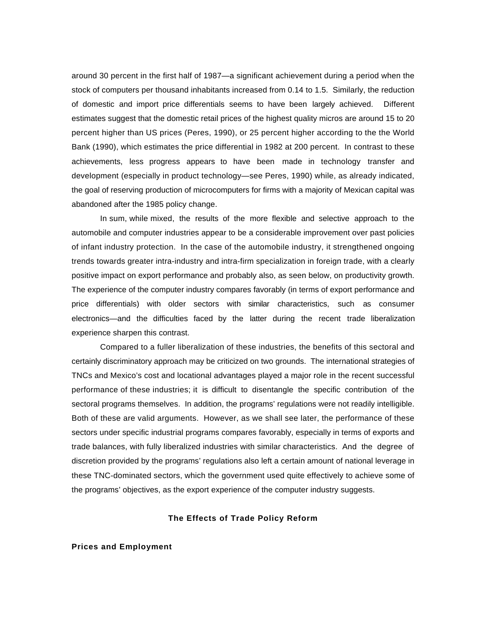around 30 percent in the first half of 1987—a significant achievement during a period when the stock of computers per thousand inhabitants increased from 0.14 to 1.5. Similarly, the reduction of domestic and import price differentials seems to have been largely achieved. Different estimates suggest that the domestic retail prices of the highest quality micros are around 15 to 20 percent higher than US prices (Peres, 1990), or 25 percent higher according to the the World Bank (1990), which estimates the price differential in 1982 at 200 percent. In contrast to these achievements, less progress appears to have been made in technology transfer and development (especially in product technology—see Peres, 1990) while, as already indicated, the goal of reserving production of microcomputers for firms with a majority of Mexican capital was abandoned after the 1985 policy change.

In sum, while mixed, the results of the more flexible and selective approach to the automobile and computer industries appear to be a considerable improvement over past policies of infant industry protection. In the case of the automobile industry, it strengthened ongoing trends towards greater intra-industry and intra-firm specialization in foreign trade, with a clearly positive impact on export performance and probably also, as seen below, on productivity growth. The experience of the computer industry compares favorably (in terms of export performance and price differentials) with older sectors with similar characteristics, such as consumer electronics—and the difficulties faced by the latter during the recent trade liberalization experience sharpen this contrast.

Compared to a fuller liberalization of these industries, the benefits of this sectoral and certainly discriminatory approach may be criticized on two grounds. The international strategies of TNCs and Mexico's cost and locational advantages played a major role in the recent successful performance of these industries; it is difficult to disentangle the specific contribution of the sectoral programs themselves. In addition, the programs' regulations were not readily intelligible. Both of these are valid arguments. However, as we shall see later, the performance of these sectors under specific industrial programs compares favorably, especially in terms of exports and trade balances, with fully liberalized industries with similar characteristics. And the degree of discretion provided by the programs' regulations also left a certain amount of national leverage in these TNC-dominated sectors, which the government used quite effectively to achieve some of the programs' objectives, as the export experience of the computer industry suggests.

#### **The Effects of Trade Policy Reform**

**Prices and Employment**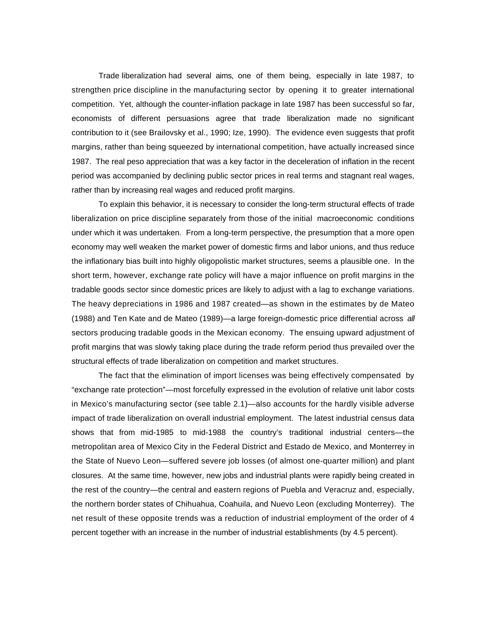Trade liberalization had several aims, one of them being, especially in late 1987, to strengthen price discipline in the manufacturing sector by opening it to greater international competition. Yet, although the counter-inflation package in late 1987 has been successful so far, economists of different persuasions agree that trade liberalization made no significant contribution to it (see Brailovsky et al., 1990; Ize, 1990). The evidence even suggests that profit margins, rather than being squeezed by international competition, have actually increased since 1987. The real peso appreciation that was a key factor in the deceleration of inflation in the recent period was accompanied by declining public sector prices in real terms and stagnant real wages, rather than by increasing real wages and reduced profit margins.

To explain this behavior, it is necessary to consider the long-term structural effects of trade liberalization on price discipline separately from those of the initial macroeconomic conditions under which it was undertaken. From a long-term perspective, the presumption that a more open economy may well weaken the market power of domestic firms and labor unions, and thus reduce the inflationary bias built into highly oligopolistic market structures, seems a plausible one. In the short term, however, exchange rate policy will have a major influence on profit margins in the tradable goods sector since domestic prices are likely to adjust with a lag to exchange variations. The heavy depreciations in 1986 and 1987 created—as shown in the estimates by de Mateo (1988) and Ten Kate and de Mateo (1989)—a large foreign-domestic price differential across *all* sectors producing tradable goods in the Mexican economy. The ensuing upward adjustment of profit margins that was slowly taking place during the trade reform period thus prevailed over the structural effects of trade liberalization on competition and market structures.

The fact that the elimination of import licenses was being effectively compensated by "exchange rate protection"—most forcefully expressed in the evolution of relative unit labor costs in Mexico's manufacturing sector (see table 2.1)—also accounts for the hardly visible adverse impact of trade liberalization on overall industrial employment. The latest industrial census data shows that from mid-1985 to mid-1988 the country's traditional industrial centers—the metropolitan area of Mexico City in the Federal District and Estado de Mexico, and Monterrey in the State of Nuevo Leon—suffered severe job losses (of almost one-quarter million) and plant closures. At the same time, however, new jobs and industrial plants were rapidly being created in the rest of the country—the central and eastern regions of Puebla and Veracruz and, especially, the northern border states of Chihuahua, Coahuila, and Nuevo Leon (excluding Monterrey). The net result of these opposite trends was a reduction of industrial employment of the order of 4 percent together with an increase in the number of industrial establishments (by 4.5 percent).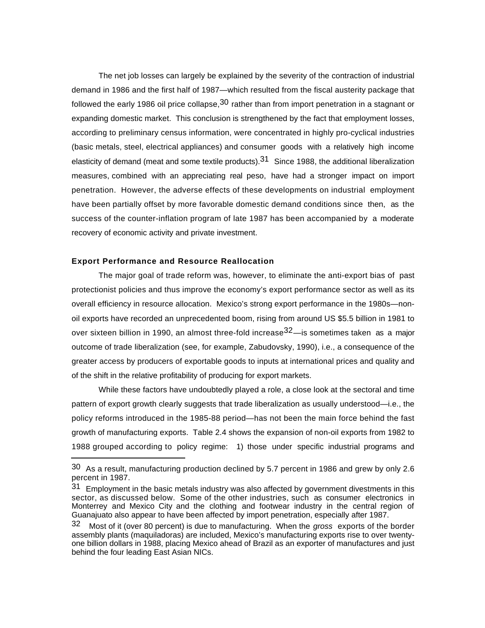The net job losses can largely be explained by the severity of the contraction of industrial demand in 1986 and the first half of 1987—which resulted from the fiscal austerity package that followed the early 1986 oil price collapse,  $30$  rather than from import penetration in a stagnant or expanding domestic market. This conclusion is strengthened by the fact that employment losses, according to preliminary census information, were concentrated in highly pro-cyclical industries (basic metals, steel, electrical appliances) and consumer goods with a relatively high income elasticity of demand (meat and some textile products).<sup>31</sup> Since 1988, the additional liberalization measures, combined with an appreciating real peso, have had a stronger impact on import penetration. However, the adverse effects of these developments on industrial employment have been partially offset by more favorable domestic demand conditions since then, as the success of the counter-inflation program of late 1987 has been accompanied by a moderate recovery of economic activity and private investment.

## **Export Performance and Resource Reallocation**

l

The major goal of trade reform was, however, to eliminate the anti-export bias of past protectionist policies and thus improve the economy's export performance sector as well as its overall efficiency in resource allocation. Mexico's strong export performance in the 1980s—nonoil exports have recorded an unprecedented boom, rising from around US \$5.5 billion in 1981 to over sixteen billion in 1990, an almost three-fold increase<sup>32</sup>—is sometimes taken as a major outcome of trade liberalization (see, for example, Zabudovsky, 1990), i.e., a consequence of the greater access by producers of exportable goods to inputs at international prices and quality and of the shift in the relative profitability of producing for export markets.

While these factors have undoubtedly played a role, a close look at the sectoral and time pattern of export growth clearly suggests that trade liberalization as usually understood—i.e., the policy reforms introduced in the 1985-88 period—has not been the main force behind the fast growth of manufacturing exports. Table 2.4 shows the expansion of non-oil exports from 1982 to 1988 grouped according to policy regime: 1) those under specific industrial programs and

<sup>30</sup> As a result, manufacturing production declined by 5.7 percent in 1986 and grew by only 2.6 percent in 1987.

 $31$  Employment in the basic metals industry was also affected by government divestments in this sector, as discussed below. Some of the other industries, such as consumer electronics in Monterrey and Mexico City and the clothing and footwear industry in the central region of Guanajuato also appear to have been affected by import penetration, especially after 1987.

<sup>32</sup> Most of it (over 80 percent) is due to manufacturing. When the *gross* exports of the border assembly plants (maquiladoras) are included, Mexico's manufacturing exports rise to over twentyone billion dollars in 1988, placing Mexico ahead of Brazil as an exporter of manufactures and just behind the four leading East Asian NICs.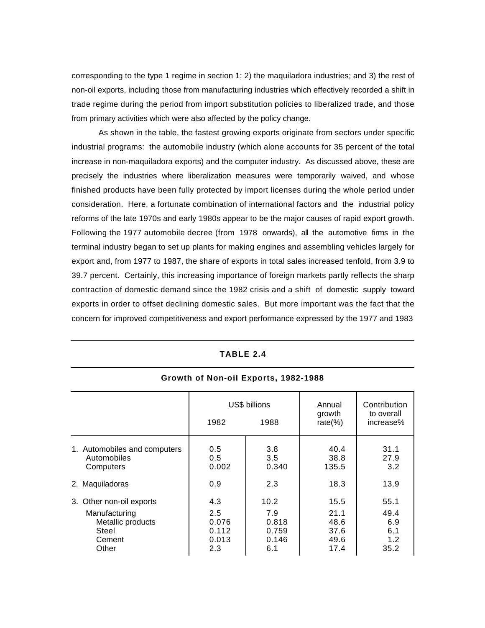corresponding to the type 1 regime in section 1; 2) the maquiladora industries; and 3) the rest of non-oil exports, including those from manufacturing industries which effectively recorded a shift in trade regime during the period from import substitution policies to liberalized trade, and those from primary activities which were also affected by the policy change.

As shown in the table, the fastest growing exports originate from sectors under specific industrial programs: the automobile industry (which alone accounts for 35 percent of the total increase in non-maquiladora exports) and the computer industry. As discussed above, these are precisely the industries where liberalization measures were temporarily waived, and whose finished products have been fully protected by import licenses during the whole period under consideration. Here, a fortunate combination of international factors and the industrial policy reforms of the late 1970s and early 1980s appear to be the major causes of rapid export growth. Following the 1977 automobile decree (from 1978 onwards), all the automotive firms in the terminal industry began to set up plants for making engines and assembling vehicles largely for export and, from 1977 to 1987, the share of exports in total sales increased tenfold, from 3.9 to 39.7 percent. Certainly, this increasing importance of foreign markets partly reflects the sharp contraction of domestic demand since the 1982 crisis and a shift of domestic supply toward exports in order to offset declining domestic sales. But more important was the fact that the concern for improved competitiveness and export performance expressed by the 1977 and 1983

| Growth of Non-oil Exports, 1982-1988                                                       |                                              |                                               |                                              |                                           |  |  |
|--------------------------------------------------------------------------------------------|----------------------------------------------|-----------------------------------------------|----------------------------------------------|-------------------------------------------|--|--|
|                                                                                            | 1982                                         | US\$ billions<br>1988                         | Annual<br>growth<br>rate $(\%)$              | Contribution<br>to overall<br>increase%   |  |  |
| 1. Automobiles and computers<br>Automobiles<br>Computers                                   | 0.5<br>0.5<br>0.002                          | 3.8<br>3.5<br>0.340                           | 40.4<br>38.8<br>135.5                        | 31.1<br>27.9<br>3.2                       |  |  |
| 2. Maquiladoras                                                                            | 0.9                                          | 2.3                                           | 18.3                                         | 13.9                                      |  |  |
| 3. Other non-oil exports<br>Manufacturing<br>Metallic products<br>Steel<br>Cement<br>Other | 4.3<br>2.5<br>0.076<br>0.112<br>0.013<br>2.3 | 10.2<br>7.9<br>0.818<br>0.759<br>0.146<br>6.1 | 15.5<br>21.1<br>48.6<br>37.6<br>49.6<br>17.4 | 55.1<br>49.4<br>6.9<br>6.1<br>1.2<br>35.2 |  |  |

**TABLE 2.4**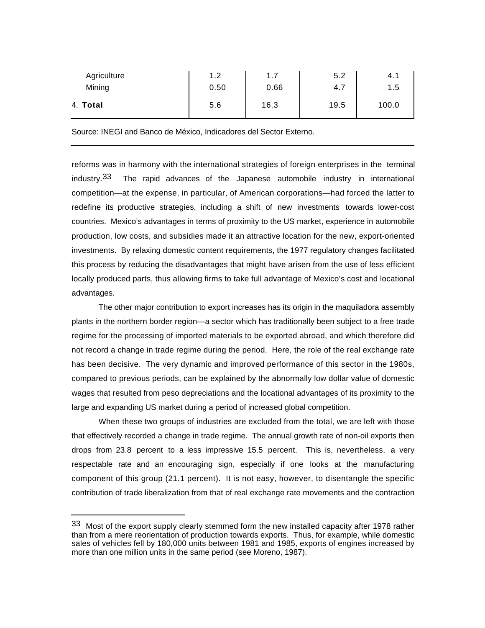| Agriculture<br>Mining | ィっ<br>. <u>.</u><br>0.50 | .<br>0.66 | 5.2<br>4. . | 4.1<br>1.5 |
|-----------------------|--------------------------|-----------|-------------|------------|
| 4. Total              | 5.6                      | 16.3      | 19.5        | 100.0      |

Source: INEGI and Banco de México, Indicadores del Sector Externo.

reforms was in harmony with the international strategies of foreign enterprises in the terminal industry.33 The rapid advances of the Japanese automobile industry in international competition—at the expense, in particular, of American corporations—had forced the latter to redefine its productive strategies, including a shift of new investments towards lower-cost countries. Mexico's advantages in terms of proximity to the US market, experience in automobile production, low costs, and subsidies made it an attractive location for the new, export-oriented investments. By relaxing domestic content requirements, the 1977 regulatory changes facilitated this process by reducing the disadvantages that might have arisen from the use of less efficient locally produced parts, thus allowing firms to take full advantage of Mexico's cost and locational advantages.

The other major contribution to export increases has its origin in the maquiladora assembly plants in the northern border region—a sector which has traditionally been subject to a free trade regime for the processing of imported materials to be exported abroad, and which therefore did not record a change in trade regime during the period. Here, the role of the real exchange rate has been decisive. The very dynamic and improved performance of this sector in the 1980s, compared to previous periods, can be explained by the abnormally low dollar value of domestic wages that resulted from peso depreciations and the locational advantages of its proximity to the large and expanding US market during a period of increased global competition.

When these two groups of industries are excluded from the total, we are left with those that effectively recorded a change in trade regime. The annual growth rate of non-oil exports then drops from 23.8 percent to a less impressive 15.5 percent. This is, nevertheless, a very respectable rate and an encouraging sign, especially if one looks at the manufacturing component of this group (21.1 percent). It is not easy, however, to disentangle the specific contribution of trade liberalization from that of real exchange rate movements and the contraction

<sup>33</sup> Most of the export supply clearly stemmed form the new installed capacity after 1978 rather than from a mere reorientation of production towards exports. Thus, for example, while domestic sales of vehicles fell by 180,000 units between 1981 and 1985, exports of engines increased by more than one million units in the same period (see Moreno, 1987).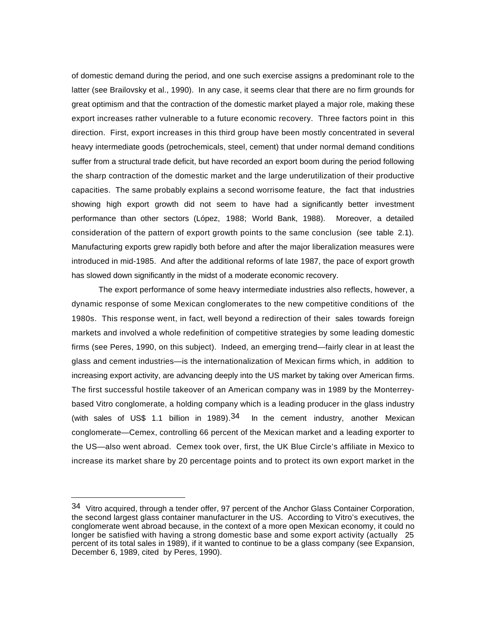of domestic demand during the period, and one such exercise assigns a predominant role to the latter (see Brailovsky et al., 1990). In any case, it seems clear that there are no firm grounds for great optimism and that the contraction of the domestic market played a major role, making these export increases rather vulnerable to a future economic recovery. Three factors point in this direction. First, export increases in this third group have been mostly concentrated in several heavy intermediate goods (petrochemicals, steel, cement) that under normal demand conditions suffer from a structural trade deficit, but have recorded an export boom during the period following the sharp contraction of the domestic market and the large underutilization of their productive capacities. The same probably explains a second worrisome feature, the fact that industries showing high export growth did not seem to have had a significantly better investment performance than other sectors (López, 1988; World Bank, 1988). Moreover, a detailed consideration of the pattern of export growth points to the same conclusion (see table 2.1). Manufacturing exports grew rapidly both before and after the major liberalization measures were introduced in mid-1985. And after the additional reforms of late 1987, the pace of export growth has slowed down significantly in the midst of a moderate economic recovery.

The export performance of some heavy intermediate industries also reflects, however, a dynamic response of some Mexican conglomerates to the new competitive conditions of the 1980s. This response went, in fact, well beyond a redirection of their sales towards foreign markets and involved a whole redefinition of competitive strategies by some leading domestic firms (see Peres, 1990, on this subject). Indeed, an emerging trend—fairly clear in at least the glass and cement industries—is the internationalization of Mexican firms which, in addition to increasing export activity, are advancing deeply into the US market by taking over American firms. The first successful hostile takeover of an American company was in 1989 by the Monterreybased Vitro conglomerate, a holding company which is a leading producer in the glass industry (with sales of US\$ 1.1 billion in 1989).<sup>34</sup> In the cement industry, another Mexican conglomerate—Cemex, controlling 66 percent of the Mexican market and a leading exporter to the US—also went abroad. Cemex took over, first, the UK Blue Circle's affiliate in Mexico to increase its market share by 20 percentage points and to protect its own export market in the

<sup>34</sup> Vitro acquired, through a tender offer, 97 percent of the Anchor Glass Container Corporation, the second largest glass container manufacturer in the US. According to Vitro's executives, the conglomerate went abroad because, in the context of a more open Mexican economy, it could no longer be satisfied with having a strong domestic base and some export activity (actually 25 percent of its total sales in 1989), if it wanted to continue to be a glass company (see Expansion, December 6, 1989, cited by Peres, 1990).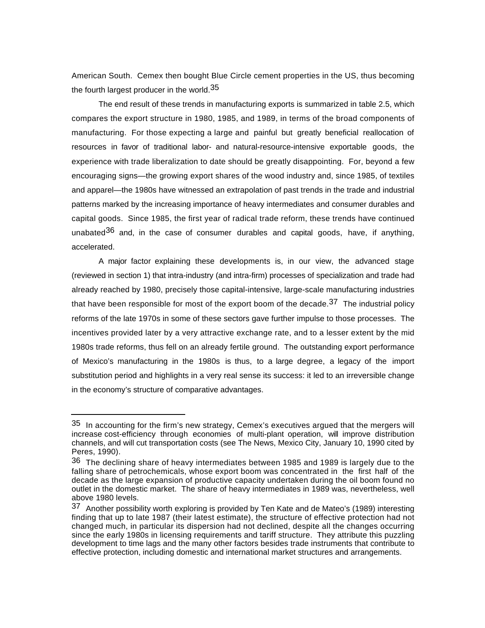American South. Cemex then bought Blue Circle cement properties in the US, thus becoming the fourth largest producer in the world.<sup>35</sup>

The end result of these trends in manufacturing exports is summarized in table 2.5, which compares the export structure in 1980, 1985, and 1989, in terms of the broad components of manufacturing. For those expecting a large and painful but greatly beneficial reallocation of resources in favor of traditional labor- and natural-resource-intensive exportable goods, the experience with trade liberalization to date should be greatly disappointing. For, beyond a few encouraging signs—the growing export shares of the wood industry and, since 1985, of textiles and apparel—the 1980s have witnessed an extrapolation of past trends in the trade and industrial patterns marked by the increasing importance of heavy intermediates and consumer durables and capital goods. Since 1985, the first year of radical trade reform, these trends have continued unabated $36$  and, in the case of consumer durables and capital goods, have, if anything, accelerated.

A major factor explaining these developments is, in our view, the advanced stage (reviewed in section 1) that intra-industry (and intra-firm) processes of specialization and trade had already reached by 1980, precisely those capital-intensive, large-scale manufacturing industries that have been responsible for most of the export boom of the decade.<sup>37</sup> The industrial policy reforms of the late 1970s in some of these sectors gave further impulse to those processes. The incentives provided later by a very attractive exchange rate, and to a lesser extent by the mid 1980s trade reforms, thus fell on an already fertile ground. The outstanding export performance of Mexico's manufacturing in the 1980s is thus, to a large degree, a legacy of the import substitution period and highlights in a very real sense its success: it led to an irreversible change in the economy's structure of comparative advantages.

 $35$  In accounting for the firm's new strategy, Cemex's executives argued that the mergers will increase cost-efficiency through economies of multi-plant operation, will improve distribution channels, and will cut transportation costs (see The News, Mexico City, January 10, 1990 cited by Peres, 1990).

<sup>&</sup>lt;sup>36</sup> The declining share of heavy intermediates between 1985 and 1989 is largely due to the falling share of petrochemicals, whose export boom was concentrated in the first half of the decade as the large expansion of productive capacity undertaken during the oil boom found no outlet in the domestic market. The share of heavy intermediates in 1989 was, nevertheless, well above 1980 levels.

<sup>37</sup> Another possibility worth exploring is provided by Ten Kate and de Mateo's (1989) interesting finding that up to late 1987 (their latest estimate), the structure of effective protection had not changed much, in particular its dispersion had not declined, despite all the changes occurring since the early 1980s in licensing requirements and tariff structure. They attribute this puzzling development to time lags and the many other factors besides trade instruments that contribute to effective protection, including domestic and international market structures and arrangements.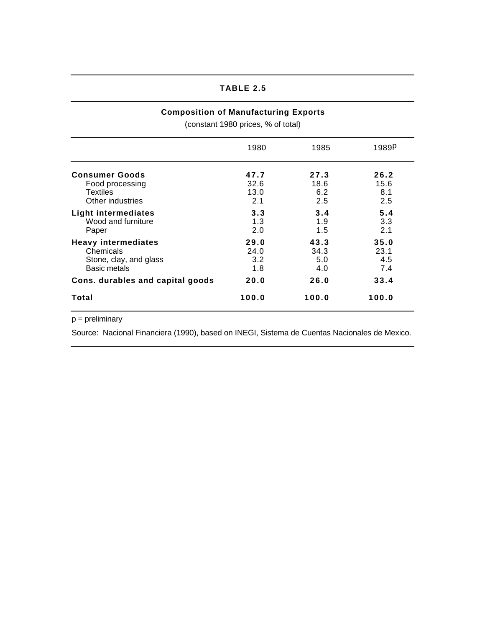## **TABLE 2.5**

## **Composition of Manufacturing Exports**

(constant 1980 prices, % of total)

|                                  | 1980  | 1985  | 1989P |
|----------------------------------|-------|-------|-------|
| <b>Consumer Goods</b>            | 47.7  | 27.3  | 26.2  |
| Food processing                  | 32.6  | 18.6  | 15.6  |
| <b>Textiles</b>                  | 13.0  | 6.2   | 8.1   |
| Other industries                 | 2.1   | 2.5   | 2.5   |
| <b>Light intermediates</b>       | 3.3   | 3.4   | 5.4   |
| Wood and furniture               | 1.3   | 1.9   | 3.3   |
| Paper                            | 2.0   | 1.5   | 2.1   |
| <b>Heavy intermediates</b>       | 29.0  | 43.3  | 35.0  |
| Chemicals                        | 24.0  | 34.3  | 23.1  |
| Stone, clay, and glass           | 3.2   | 5.0   | 4.5   |
| Basic metals                     | 1.8   | 4.0   | 7.4   |
| Cons. durables and capital goods | 20.0  | 26.0  | 33.4  |
| Total                            | 100.0 | 100.0 | 100.0 |

 $p =$  preliminary

Source: Nacional Financiera (1990), based on INEGI, Sistema de Cuentas Nacionales de Mexico.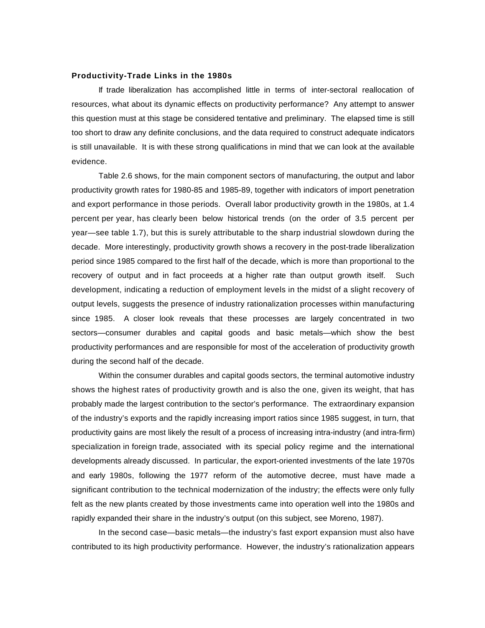#### **Productivity-Trade Links in the 1980s**

If trade liberalization has accomplished little in terms of inter-sectoral reallocation of resources, what about its dynamic effects on productivity performance? Any attempt to answer this question must at this stage be considered tentative and preliminary. The elapsed time is still too short to draw any definite conclusions, and the data required to construct adequate indicators is still unavailable. It is with these strong qualifications in mind that we can look at the available evidence.

Table 2.6 shows, for the main component sectors of manufacturing, the output and labor productivity growth rates for 1980-85 and 1985-89, together with indicators of import penetration and export performance in those periods. Overall labor productivity growth in the 1980s, at 1.4 percent per year, has clearly been below historical trends (on the order of 3.5 percent per year—see table 1.7), but this is surely attributable to the sharp industrial slowdown during the decade. More interestingly, productivity growth shows a recovery in the post-trade liberalization period since 1985 compared to the first half of the decade, which is more than proportional to the recovery of output and in fact proceeds at a higher rate than output growth itself. Such development, indicating a reduction of employment levels in the midst of a slight recovery of output levels, suggests the presence of industry rationalization processes within manufacturing since 1985. A closer look reveals that these processes are largely concentrated in two sectors—consumer durables and capital goods and basic metals—which show the best productivity performances and are responsible for most of the acceleration of productivity growth during the second half of the decade.

Within the consumer durables and capital goods sectors, the terminal automotive industry shows the highest rates of productivity growth and is also the one, given its weight, that has probably made the largest contribution to the sector's performance. The extraordinary expansion of the industry's exports and the rapidly increasing import ratios since 1985 suggest, in turn, that productivity gains are most likely the result of a process of increasing intra-industry (and intra-firm) specialization in foreign trade, associated with its special policy regime and the international developments already discussed. In particular, the export-oriented investments of the late 1970s and early 1980s, following the 1977 reform of the automotive decree, must have made a significant contribution to the technical modernization of the industry; the effects were only fully felt as the new plants created by those investments came into operation well into the 1980s and rapidly expanded their share in the industry's output (on this subject, see Moreno, 1987).

In the second case—basic metals—the industry's fast export expansion must also have contributed to its high productivity performance. However, the industry's rationalization appears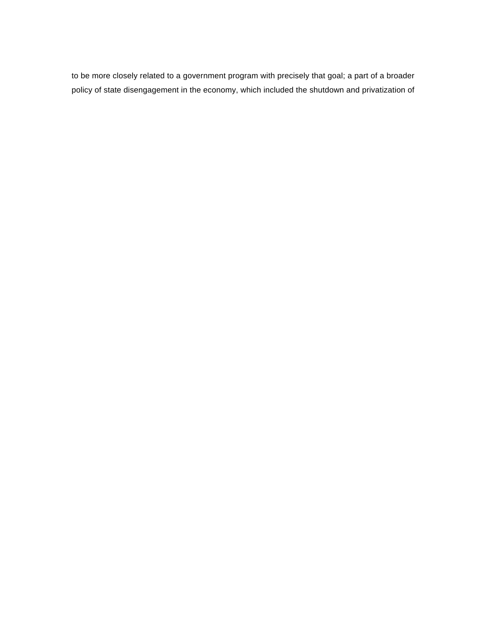to be more closely related to a government program with precisely that goal; a part of a broader policy of state disengagement in the economy, which included the shutdown and privatization of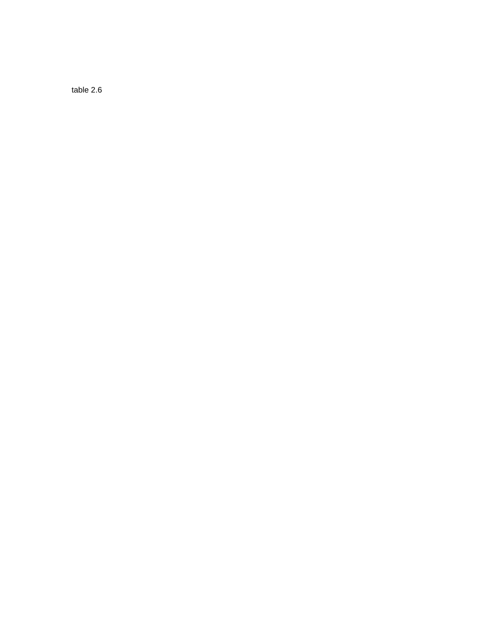table 2.6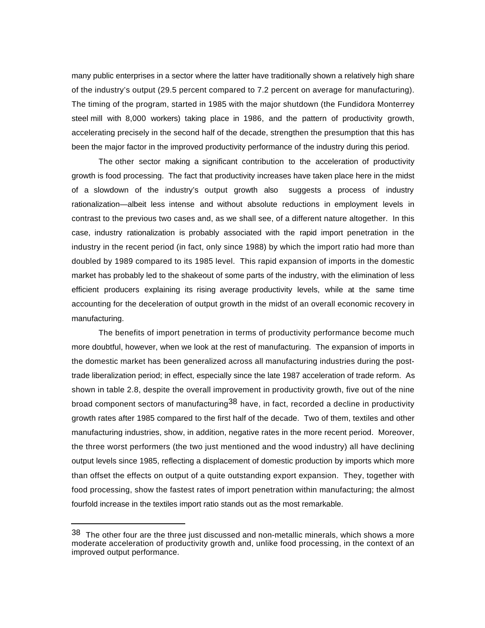many public enterprises in a sector where the latter have traditionally shown a relatively high share of the industry's output (29.5 percent compared to 7.2 percent on average for manufacturing). The timing of the program, started in 1985 with the major shutdown (the Fundidora Monterrey steel mill with 8,000 workers) taking place in 1986, and the pattern of productivity growth, accelerating precisely in the second half of the decade, strengthen the presumption that this has been the major factor in the improved productivity performance of the industry during this period.

The other sector making a significant contribution to the acceleration of productivity growth is food processing. The fact that productivity increases have taken place here in the midst of a slowdown of the industry's output growth also suggests a process of industry rationalization—albeit less intense and without absolute reductions in employment levels in contrast to the previous two cases and, as we shall see, of a different nature altogether. In this case, industry rationalization is probably associated with the rapid import penetration in the industry in the recent period (in fact, only since 1988) by which the import ratio had more than doubled by 1989 compared to its 1985 level. This rapid expansion of imports in the domestic market has probably led to the shakeout of some parts of the industry, with the elimination of less efficient producers explaining its rising average productivity levels, while at the same time accounting for the deceleration of output growth in the midst of an overall economic recovery in manufacturing.

The benefits of import penetration in terms of productivity performance become much more doubtful, however, when we look at the rest of manufacturing. The expansion of imports in the domestic market has been generalized across all manufacturing industries during the posttrade liberalization period; in effect, especially since the late 1987 acceleration of trade reform. As shown in table 2.8, despite the overall improvement in productivity growth, five out of the nine broad component sectors of manufacturing  $38$  have, in fact, recorded a decline in productivity growth rates after 1985 compared to the first half of the decade. Two of them, textiles and other manufacturing industries, show, in addition, negative rates in the more recent period. Moreover, the three worst performers (the two just mentioned and the wood industry) all have declining output levels since 1985, reflecting a displacement of domestic production by imports which more than offset the effects on output of a quite outstanding export expansion. They, together with food processing, show the fastest rates of import penetration within manufacturing; the almost fourfold increase in the textiles import ratio stands out as the most remarkable.

 $38$  The other four are the three just discussed and non-metallic minerals, which shows a more moderate acceleration of productivity growth and, unlike food processing, in the context of an improved output performance.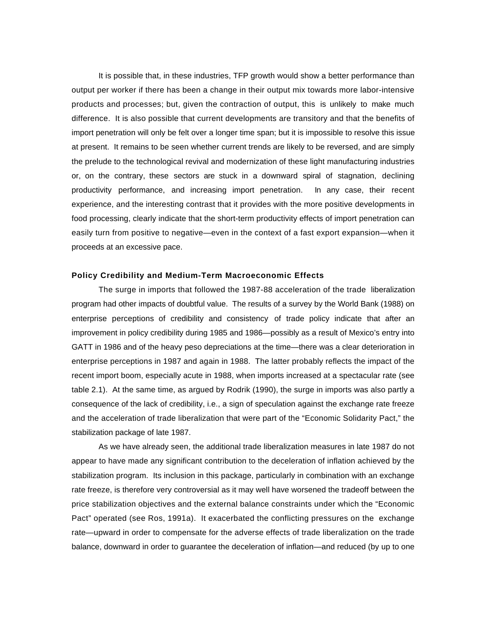It is possible that, in these industries, TFP growth would show a better performance than output per worker if there has been a change in their output mix towards more labor-intensive products and processes; but, given the contraction of output, this is unlikely to make much difference. It is also possible that current developments are transitory and that the benefits of import penetration will only be felt over a longer time span; but it is impossible to resolve this issue at present. It remains to be seen whether current trends are likely to be reversed, and are simply the prelude to the technological revival and modernization of these light manufacturing industries or, on the contrary, these sectors are stuck in a downward spiral of stagnation, declining productivity performance, and increasing import penetration. In any case, their recent experience, and the interesting contrast that it provides with the more positive developments in food processing, clearly indicate that the short-term productivity effects of import penetration can easily turn from positive to negative—even in the context of a fast export expansion—when it proceeds at an excessive pace.

#### **Policy Credibility and Medium-Term Macroeconomic Effects**

The surge in imports that followed the 1987-88 acceleration of the trade liberalization program had other impacts of doubtful value. The results of a survey by the World Bank (1988) on enterprise perceptions of credibility and consistency of trade policy indicate that after an improvement in policy credibility during 1985 and 1986—possibly as a result of Mexico's entry into GATT in 1986 and of the heavy peso depreciations at the time—there was a clear deterioration in enterprise perceptions in 1987 and again in 1988. The latter probably reflects the impact of the recent import boom, especially acute in 1988, when imports increased at a spectacular rate (see table 2.1). At the same time, as argued by Rodrik (1990), the surge in imports was also partly a consequence of the lack of credibility, i.e., a sign of speculation against the exchange rate freeze and the acceleration of trade liberalization that were part of the "Economic Solidarity Pact," the stabilization package of late 1987.

As we have already seen, the additional trade liberalization measures in late 1987 do not appear to have made any significant contribution to the deceleration of inflation achieved by the stabilization program. Its inclusion in this package, particularly in combination with an exchange rate freeze, is therefore very controversial as it may well have worsened the tradeoff between the price stabilization objectives and the external balance constraints under which the "Economic Pact" operated (see Ros, 1991a). It exacerbated the conflicting pressures on the exchange rate—upward in order to compensate for the adverse effects of trade liberalization on the trade balance, downward in order to guarantee the deceleration of inflation—and reduced (by up to one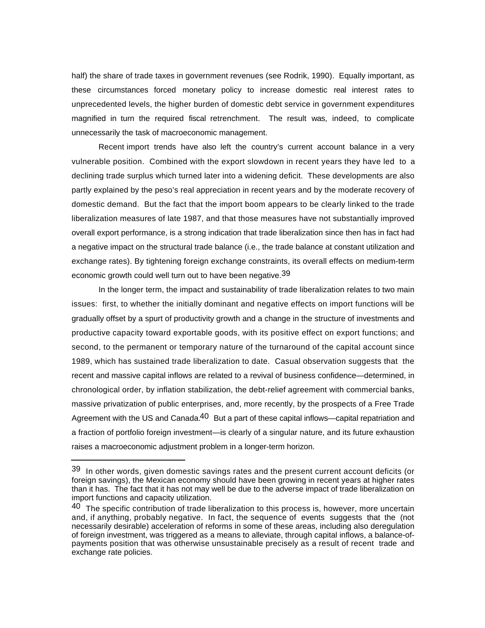half) the share of trade taxes in government revenues (see Rodrik, 1990). Equally important, as these circumstances forced monetary policy to increase domestic real interest rates to unprecedented levels, the higher burden of domestic debt service in government expenditures magnified in turn the required fiscal retrenchment. The result was, indeed, to complicate unnecessarily the task of macroeconomic management.

Recent import trends have also left the country's current account balance in a very vulnerable position. Combined with the export slowdown in recent years they have led to a declining trade surplus which turned later into a widening deficit. These developments are also partly explained by the peso's real appreciation in recent years and by the moderate recovery of domestic demand. But the fact that the import boom appears to be clearly linked to the trade liberalization measures of late 1987, and that those measures have not substantially improved overall export performance, is a strong indication that trade liberalization since then has in fact had a negative impact on the structural trade balance (i.e., the trade balance at constant utilization and exchange rates). By tightening foreign exchange constraints, its overall effects on medium-term economic growth could well turn out to have been negative.<sup>39</sup>

In the longer term, the impact and sustainability of trade liberalization relates to two main issues: first, to whether the initially dominant and negative effects on import functions will be gradually offset by a spurt of productivity growth and a change in the structure of investments and productive capacity toward exportable goods, with its positive effect on export functions; and second, to the permanent or temporary nature of the turnaround of the capital account since 1989, which has sustained trade liberalization to date. Casual observation suggests that the recent and massive capital inflows are related to a revival of business confidence—determined, in chronological order, by inflation stabilization, the debt-relief agreement with commercial banks, massive privatization of public enterprises, and, more recently, by the prospects of a Free Trade Agreement with the US and Canada. $^{40}$  But a part of these capital inflows—capital repatriation and a fraction of portfolio foreign investment—is clearly of a singular nature, and its future exhaustion raises a macroeconomic adjustment problem in a longer-term horizon.

<sup>39</sup> In other words, given domestic savings rates and the present current account deficits (or foreign savings), the Mexican economy should have been growing in recent years at higher rates than it has. The fact that it has not may well be due to the adverse impact of trade liberalization on import functions and capacity utilization.

<sup>40</sup> The specific contribution of trade liberalization to this process is, however, more uncertain and, if anything, probably negative. In fact, the sequence of events suggests that the (not necessarily desirable) acceleration of reforms in some of these areas, including also deregulation of foreign investment, was triggered as a means to alleviate, through capital inflows, a balance-ofpayments position that was otherwise unsustainable precisely as a result of recent trade and exchange rate policies.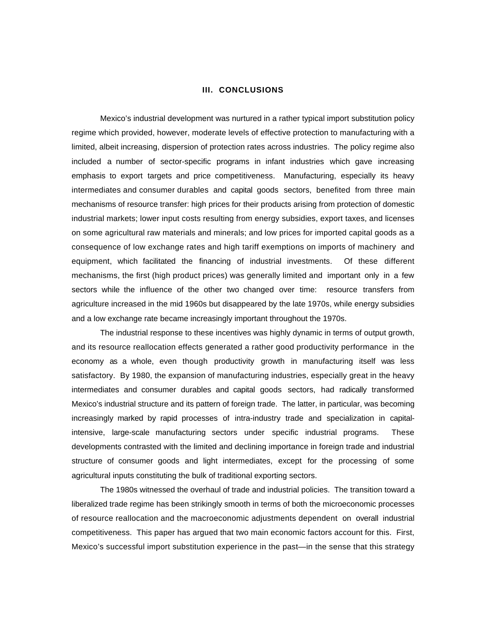#### **III. CONCLUSIONS**

Mexico's industrial development was nurtured in a rather typical import substitution policy regime which provided, however, moderate levels of effective protection to manufacturing with a limited, albeit increasing, dispersion of protection rates across industries. The policy regime also included a number of sector-specific programs in infant industries which gave increasing emphasis to export targets and price competitiveness. Manufacturing, especially its heavy intermediates and consumer durables and capital goods sectors, benefited from three main mechanisms of resource transfer: high prices for their products arising from protection of domestic industrial markets; lower input costs resulting from energy subsidies, export taxes, and licenses on some agricultural raw materials and minerals; and low prices for imported capital goods as a consequence of low exchange rates and high tariff exemptions on imports of machinery and equipment, which facilitated the financing of industrial investments. Of these different mechanisms, the first (high product prices) was generally limited and important only in a few sectors while the influence of the other two changed over time: resource transfers from agriculture increased in the mid 1960s but disappeared by the late 1970s, while energy subsidies and a low exchange rate became increasingly important throughout the 1970s.

The industrial response to these incentives was highly dynamic in terms of output growth, and its resource reallocation effects generated a rather good productivity performance in the economy as a whole, even though productivity growth in manufacturing itself was less satisfactory. By 1980, the expansion of manufacturing industries, especially great in the heavy intermediates and consumer durables and capital goods sectors, had radically transformed Mexico's industrial structure and its pattern of foreign trade. The latter, in particular, was becoming increasingly marked by rapid processes of intra-industry trade and specialization in capitalintensive, large-scale manufacturing sectors under specific industrial programs. These developments contrasted with the limited and declining importance in foreign trade and industrial structure of consumer goods and light intermediates, except for the processing of some agricultural inputs constituting the bulk of traditional exporting sectors.

The 1980s witnessed the overhaul of trade and industrial policies. The transition toward a liberalized trade regime has been strikingly smooth in terms of both the microeconomic processes of resource reallocation and the macroeconomic adjustments dependent on overall industrial competitiveness. This paper has argued that two main economic factors account for this. First, Mexico's successful import substitution experience in the past—in the sense that this strategy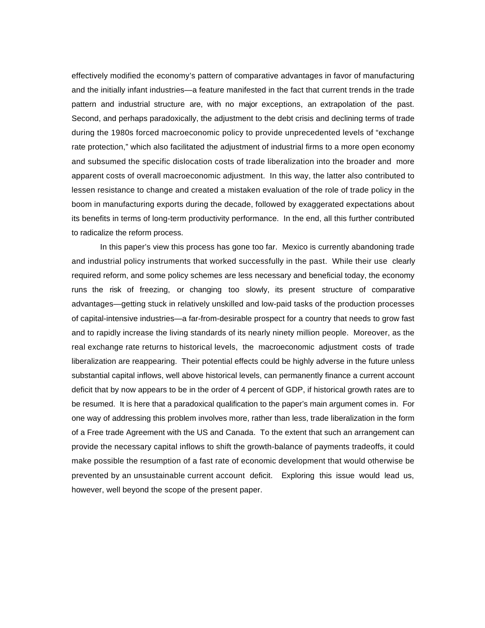effectively modified the economy's pattern of comparative advantages in favor of manufacturing and the initially infant industries—a feature manifested in the fact that current trends in the trade pattern and industrial structure are, with no major exceptions, an extrapolation of the past. Second, and perhaps paradoxically, the adjustment to the debt crisis and declining terms of trade during the 1980s forced macroeconomic policy to provide unprecedented levels of "exchange rate protection," which also facilitated the adjustment of industrial firms to a more open economy and subsumed the specific dislocation costs of trade liberalization into the broader and more apparent costs of overall macroeconomic adjustment. In this way, the latter also contributed to lessen resistance to change and created a mistaken evaluation of the role of trade policy in the boom in manufacturing exports during the decade, followed by exaggerated expectations about its benefits in terms of long-term productivity performance. In the end, all this further contributed to radicalize the reform process.

In this paper's view this process has gone too far. Mexico is currently abandoning trade and industrial policy instruments that worked successfully in the past. While their use clearly required reform, and some policy schemes are less necessary and beneficial today, the economy runs the risk of freezing, or changing too slowly, its present structure of comparative advantages—getting stuck in relatively unskilled and low-paid tasks of the production processes of capital-intensive industries—a far-from-desirable prospect for a country that needs to grow fast and to rapidly increase the living standards of its nearly ninety million people. Moreover, as the real exchange rate returns to historical levels, the macroeconomic adjustment costs of trade liberalization are reappearing. Their potential effects could be highly adverse in the future unless substantial capital inflows, well above historical levels, can permanently finance a current account deficit that by now appears to be in the order of 4 percent of GDP, if historical growth rates are to be resumed. It is here that a paradoxical qualification to the paper's main argument comes in. For one way of addressing this problem involves more, rather than less, trade liberalization in the form of a Free trade Agreement with the US and Canada. To the extent that such an arrangement can provide the necessary capital inflows to shift the growth-balance of payments tradeoffs, it could make possible the resumption of a fast rate of economic development that would otherwise be prevented by an unsustainable current account deficit. Exploring this issue would lead us, however, well beyond the scope of the present paper.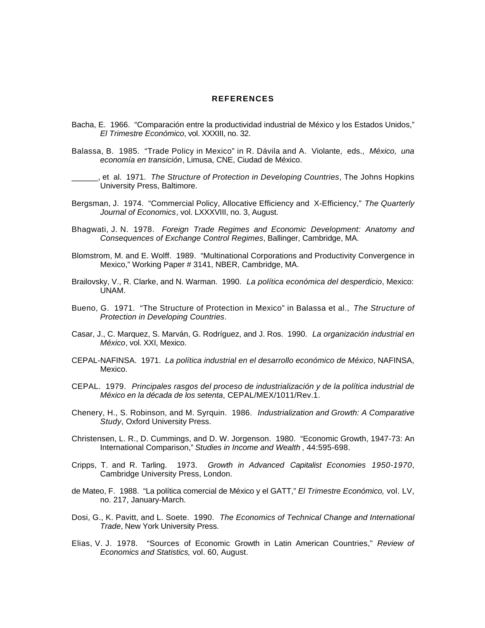#### **REFERENCES**

- Bacha, E. 1966. "Comparación entre la productividad industrial de México y los Estados Unidos," *El Trimestre Económico*, vol. XXXIII, no. 32.
- Balassa, B. 1985. "Trade Policy in Mexico" in R. Dávila and A. Violante, eds., *México, una economía en transición*, Limusa, CNE, Ciudad de México.
- \_\_\_\_\_\_, et al. 1971. *The Structure of Protection in Developing Countries*, The Johns Hopkins University Press, Baltimore.
- Bergsman, J. 1974. "Commercial Policy, Allocative Efficiency and X-Efficiency," *The Quarterly Journal of Economics*, vol. LXXXVIII, no. 3, August.
- Bhagwati, J. N. 1978. *Foreign Trade Regimes and Economic Development: Anatomy and Consequences of Exchange Control Regimes*, Ballinger, Cambridge, MA.
- Blomstrom, M. and E. Wolff. 1989. "Multinational Corporations and Productivity Convergence in Mexico," Working Paper # 3141, NBER, Cambridge, MA.
- Brailovsky, V., R. Clarke, and N. Warman. 1990. *La política económica del desperdicio*, Mexico: UNAM.
- Bueno, G. 1971. "The Structure of Protection in Mexico" in Balassa et al., *The Structure of Protection in Developing Countries*.
- Casar, J., C. Marquez, S. Marván, G. Rodríguez, and J. Ros. 1990. *La organización industrial en México*, vol. XXI, Mexico.
- CEPAL-NAFINSA. 1971. *La política industrial en el desarrollo económico de México*, NAFINSA, Mexico.
- CEPAL. 1979. *Principales rasgos del proceso de industrialización y de la política industrial de México en la década de los setenta*, CEPAL/MEX/1011/Rev.1.
- Chenery, H., S. Robinson, and M. Syrquin. 1986. *Industrialization and Growth: A Comparative Study*, Oxford University Press.
- Christensen, L. R., D. Cummings, and D. W. Jorgenson. 1980. "Economic Growth, 1947-73: An International Comparison," *Studies in Income and Wealth* , 44:595-698.
- Cripps, T. and R. Tarling. 1973. *Growth in Advanced Capitalist Economies 1950-1970*, Cambridge University Press, London.
- de Mateo, F. 1988. "La política comercial de México y el GATT," *El Trimestre Económico,* vol. LV, no. 217, January-March.
- Dosi, G., K. Pavitt, and L. Soete. 1990. *The Economics of Technical Change and International Trade*, New York University Press.
- Elias, V. J. 1978. "Sources of Economic Growth in Latin American Countries," *Review of Economics and Statistics,* vol. 60, August.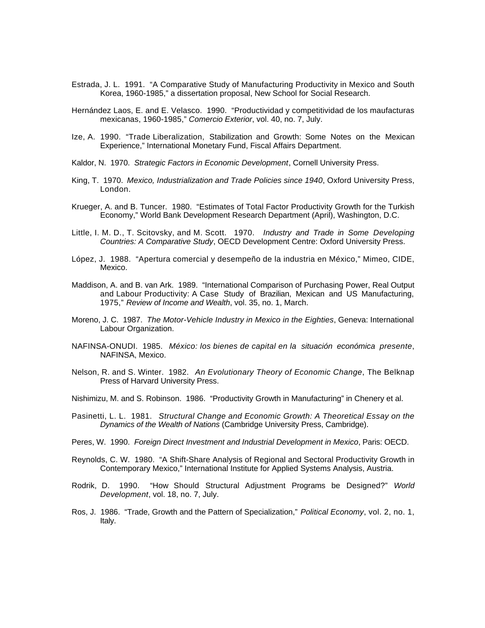- Estrada, J. L. 1991. "A Comparative Study of Manufacturing Productivity in Mexico and South Korea, 1960-1985," a dissertation proposal, New School for Social Research.
- Hernández Laos, E. and E. Velasco. 1990. "Productividad y competitividad de los maufacturas mexicanas, 1960-1985," *Comercio Exterior*, vol. 40, no. 7, July.
- Ize, A. 1990. "Trade Liberalization, Stabilization and Growth: Some Notes on the Mexican Experience," International Monetary Fund, Fiscal Affairs Department.
- Kaldor, N. 1970. *Strategic Factors in Economic Development*, Cornell University Press.
- King, T. 1970. *Mexico, Industrialization and Trade Policies since 1940*, Oxford University Press, London.
- Krueger, A. and B. Tuncer. 1980. "Estimates of Total Factor Productivity Growth for the Turkish Economy," World Bank Development Research Department (April), Washington, D.C.
- Little, I. M. D., T. Scitovsky, and M. Scott. 1970. *Industry and Trade in Some Developing Countries: A Comparative Study*, OECD Development Centre: Oxford University Press.
- López, J. 1988. "Apertura comercial y desempeño de la industria en México," Mimeo, CIDE, Mexico.
- Maddison, A. and B. van Ark. 1989. "International Comparison of Purchasing Power, Real Output and Labour Productivity: A Case Study of Brazilian, Mexican and US Manufacturing, 1975," *Review of Income and Wealth*, vol. 35, no. 1, March.
- Moreno, J. C. 1987. *The Motor-Vehicle Industry in Mexico in the Eighties*, Geneva: International Labour Organization.
- NAFINSA-ONUDI. 1985. *México: los bienes de capital en la situación económica presente*, NAFINSA, Mexico.
- Nelson, R. and S. Winter. 1982. *An Evolutionary Theory of Economic Change*, The Belknap Press of Harvard University Press.
- Nishimizu, M. and S. Robinson. 1986. "Productivity Growth in Manufacturing" in Chenery et al.
- Pasinetti, L. L. 1981. *Structural Change and Economic Growth: A Theoretical Essay on the Dynamics of the Wealth of Nations* (Cambridge University Press, Cambridge).
- Peres, W. 1990. *Foreign Direct Investment and Industrial Development in Mexico*, Paris: OECD.
- Reynolds, C. W. 1980. "A Shift-Share Analysis of Regional and Sectoral Productivity Growth in Contemporary Mexico," International Institute for Applied Systems Analysis, Austria.
- Rodrik, D. 1990. "How Should Structural Adjustment Programs be Designed?" *World Development*, vol. 18, no. 7, July.
- Ros, J. 1986. "Trade, Growth and the Pattern of Specialization," *Political Economy*, vol. 2, no. 1, Italy.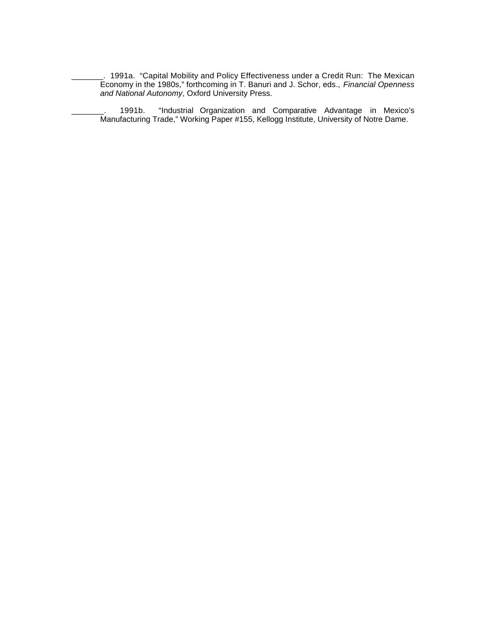\_\_\_\_\_\_\_. 1991a. "Capital Mobility and Policy Effectiveness under a Credit Run: The Mexican Economy in the 1980s," forthcoming in T. Banuri and J. Schor, eds., *Financial Openness and National Autonomy*, Oxford University Press.

\_\_\_\_\_\_\_. 1991b. "Industrial Organization and Comparative Advantage in Mexico's Manufacturing Trade," Working Paper #155, Kellogg Institute, University of Notre Dame.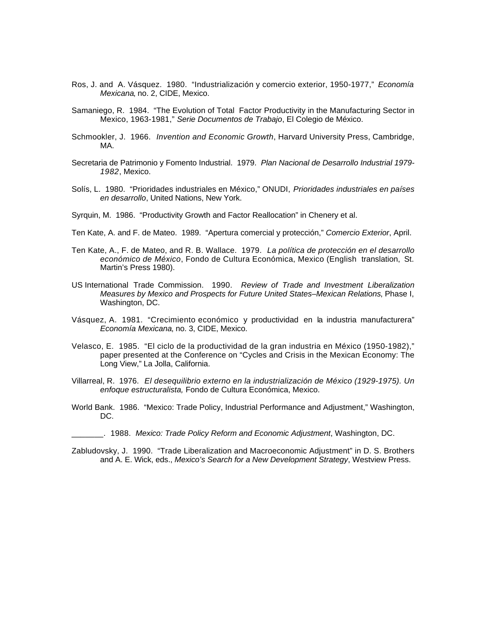- Ros, J. and A. Vásquez. 1980. "Industrialización y comercio exterior, 1950-1977," *Economía Mexicana*, no. 2, CIDE, Mexico.
- Samaniego, R. 1984. "The Evolution of Total Factor Productivity in the Manufacturing Sector in Mexico, 1963-1981," *Serie Documentos de Trabajo*, El Colegio de México.
- Schmookler, J. 1966. *Invention and Economic Growth*, Harvard University Press, Cambridge, MA.
- Secretaria de Patrimonio y Fomento Industrial. 1979. *Plan Nacional de Desarrollo Industrial 1979- 1982*, Mexico.
- Solís, L. 1980. "Prioridades industriales en México," ONUDI, *Prioridades industriales en países en desarrollo*, United Nations, New York.
- Syrquin, M. 1986. "Productivity Growth and Factor Reallocation" in Chenery et al.
- Ten Kate, A. and F. de Mateo. 1989. "Apertura comercial y protección," *Comercio Exterior*, April.
- Ten Kate, A., F. de Mateo, and R. B. Wallace. 1979. *La política de protección en el desarrollo económico de México*, Fondo de Cultura Económica, Mexico (English translation, St. Martin's Press 1980).
- US International Trade Commission. 1990. *Review of Trade and Investment Liberalization Measures by Mexico and Prospects for Future United States–Mexican Relations*, Phase I, Washington, DC.
- Vásquez, A. 1981. "Crecimiento económico y productividad en la industria manufacturera" *Economía Mexicana*, no. 3, CIDE, Mexico.
- Velasco, E. 1985. "El ciclo de la productividad de la gran industria en México (1950-1982)," paper presented at the Conference on "Cycles and Crisis in the Mexican Economy: The Long View," La Jolla, California.
- Villarreal, R. 1976. *El desequilibrio externo en la industrialización de México (1929-1975). Un enfoque estructuralista,* Fondo de Cultura Económica, Mexico.
- World Bank. 1986. "Mexico: Trade Policy, Industrial Performance and Adjustment," Washington, DC.
- \_\_\_\_\_\_\_. 1988. *Mexico: Trade Policy Reform and Economic Adjustment*, Washington, DC.
- Zabludovsky, J. 1990. "Trade Liberalization and Macroeconomic Adjustment" in D. S. Brothers and A. E. Wick, eds., *Mexico's Search for a New Development Strategy*, Westview Press.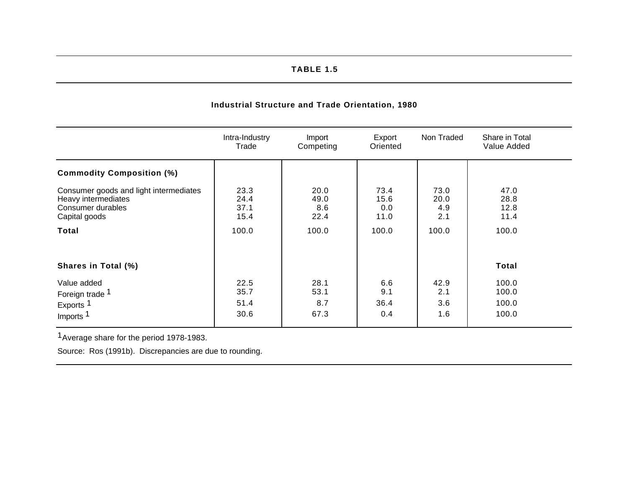## **TABLE 1.5**

|                                                                                                     | Intra-Industry<br>Trade      | Import<br>Competing         | Export<br>Oriented          | Non Traded                 | Share in Total<br>Value Added    |
|-----------------------------------------------------------------------------------------------------|------------------------------|-----------------------------|-----------------------------|----------------------------|----------------------------------|
| <b>Commodity Composition (%)</b>                                                                    |                              |                             |                             |                            |                                  |
| Consumer goods and light intermediates<br>Heavy intermediates<br>Consumer durables<br>Capital goods | 23.3<br>24.4<br>37.1<br>15.4 | 20.0<br>49.0<br>8.6<br>22.4 | 73.4<br>15.6<br>0.0<br>11.0 | 73.0<br>20.0<br>4.9<br>2.1 | 47.0<br>28.8<br>12.8<br>11.4     |
| <b>Total</b>                                                                                        | 100.0                        | 100.0                       | 100.0                       | 100.0                      | 100.0                            |
| Shares in Total (%)                                                                                 |                              |                             |                             |                            | Total                            |
| Value added<br>Foreign trade 1<br>Exports <sup>1</sup><br>Imports <sup>1</sup>                      | 22.5<br>35.7<br>51.4<br>30.6 | 28.1<br>53.1<br>8.7<br>67.3 | 6.6<br>9.1<br>36.4<br>0.4   | 42.9<br>2.1<br>3.6<br>1.6  | 100.0<br>100.0<br>100.0<br>100.0 |

## **Industrial Structure and Trade Orientation, 1980**

1Average share for the period 1978-1983.

Source: Ros (1991b). Discrepancies are due to rounding.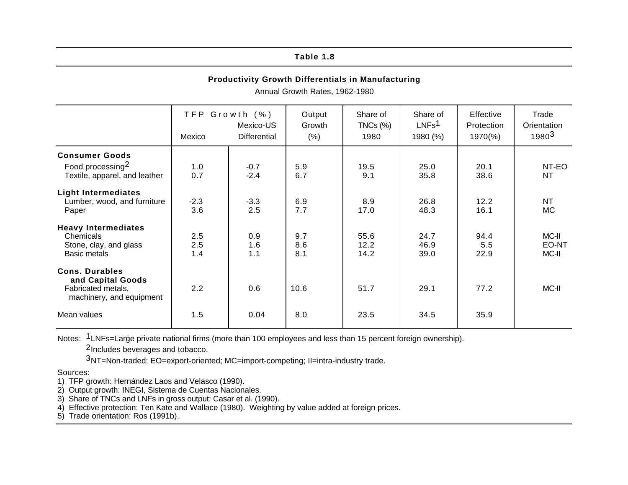## **Table 1.8**

## **Productivity Growth Differentials in Manufacturing**

Annual Growth Rates, 1962-1980

|                                                                                              | Mexico            | TFP Growth (%)<br>Mexico-US<br><b>Differential</b> | Output<br>Growth<br>(% ) | Share of<br><b>TNCs (%)</b><br>1980 | Share of<br>LNFs <sup>1</sup><br>1980 (%) | Effective<br>Protection<br>1970(%) | Trade<br>Orientation<br>$1980^{3}$ |  |
|----------------------------------------------------------------------------------------------|-------------------|----------------------------------------------------|--------------------------|-------------------------------------|-------------------------------------------|------------------------------------|------------------------------------|--|
| <b>Consumer Goods</b><br>Food processing <sup>2</sup><br>Textile, apparel, and leather       | 1.0<br>0.7        | $-0.7$<br>$-2.4$                                   | 5.9<br>6.7               | 19.5<br>9.1                         | 25.0<br>35.8                              | 20.1<br>38.6                       | NT-EO<br>NT                        |  |
| <b>Light Intermediates</b><br>Lumber, wood, and furniture<br>Paper                           | $-2.3$<br>3.6     | $-3.3$<br>2.5                                      | 6.9<br>7.7               | 8.9<br>17.0                         | 26.8<br>48.3                              | 12.2<br>16.1                       | <b>NT</b><br><b>MC</b>             |  |
| <b>Heavy Intermediates</b><br>Chemicals<br>Stone, clay, and glass<br>Basic metals            | 2.5<br>2.5<br>1.4 | 0.9<br>1.6<br>1.1                                  | 9.7<br>8.6<br>8.1        | 55.6<br>12.2<br>14.2                | 24.7<br>46.9<br>39.0                      | 94.4<br>5.5<br>22.9                | MC-II<br>EO-NT<br>MC-II            |  |
| <b>Cons. Durables</b><br>and Capital Goods<br>Fabricated metals,<br>machinery, and equipment | 2.2               | 0.6                                                | 10.6                     | 51.7                                | 29.1                                      | 77.2                               | MC-II                              |  |
| Mean values                                                                                  | 1.5               | 0.04                                               | 8.0                      | 23.5                                | 34.5                                      | 35.9                               |                                    |  |

Notes: <sup>1</sup>LNFs=Large private national firms (more than 100 employees and less than 15 percent foreign ownership).

2Includes beverages and tobacco.

3NT=Non-traded; EO=export-oriented; MC=import-competing; II=intra-industry trade.

Sources:

1) TFP growth: Hernández Laos and Velasco (1990).

2) Output growth: INEGI, Sistema de Cuentas Nacionales.

3) Share of TNCs and LNFs in gross output: Casar et al. (1990).

4) Effective protection: Ten Kate and Wallace (1980). Weighting by value added at foreign prices.

5) Trade orientation: Ros (1991b).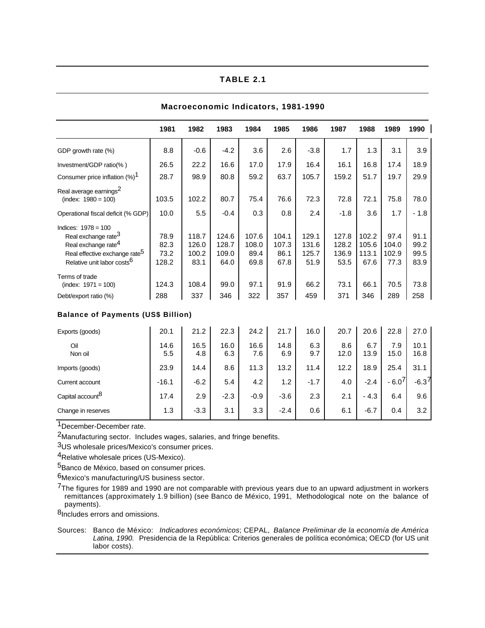#### **TABLE 2.1**

# **1981 1982 1983 1984 1985 1986 1987 1988 1989 1990** GDP growth rate (%) 8.8 -0.6 -4.2 3.6 2.6 -3.8 1.7 1.3 3.1 3.9 Investment/GDP ratio(% ) 26.5 22.2 16.6 17.0 17.9 16.4 16.1 16.8 17.4 18.9 Consumer price inflation (%)<sup>1</sup> 28.7 98.9 80.8 59.2 63.7 105.7 159.2 51.7 19.7 29.9 Real average earnings2 (index: 1980 = 100) | 103.5 | 102.2 | 80.7 | 75.4 | 76.6 | 72.3 | 72.8 | 72.1 | 75.8 | 78.0 Operational fiscal deficit (% GDP) | 10.0 | 5.5 | -0.4 | 0.3 | 0.8 | 2.4 | -1.8 | 3.6 | 1.7 | -1.8 Indices: 1978 = 100 Real exchange rate<sup>3</sup> | 78.9 | 118.7 | 124.6 | 107.6 | 104.1 | 129.1 | 127.8 | 102.2 | 97.4 | 91.1 Real exchange rate<sup>4</sup> | 82.3 | 126.0 | 128.7 | 108.0 | 107.3 | 131.6 | 128.2 | 105.6 | 104.0 | 99.2 Real effective exchange rate<sup>5</sup> | 73.2 | 100.2 | 109.0 | 89.4 | 86.1 | 125.7 | 136.9 | 113.1 | 102.9 | 99.5 Relative unit labor costs | 128.2 | 83.1 | 64.0 | 69.8 | 67.8 | 51.9 | 53.5 | 67.6 | 77.3 | 83.9 Terms of trade (index: 1971 = 100) | 124.3 | 108.4 | 99.0 | 97.1 | 91.9 | 66.2 | 73.1 | 66.1 | 70.5 | 73.8 Debt/export ratio (%) 288 337 346 322 357 459 371 346 289 258

#### **Macroeconomic Indicators, 1981-1990**

#### **Balance of Payments (US\$ Billion)**

| Exports (goods)              | 20.1        | 21.2        | 22.3        | 24.2        | 21.7        | 16.0       | 20.7        | 20.6        | 22.8        | 27.0         |
|------------------------------|-------------|-------------|-------------|-------------|-------------|------------|-------------|-------------|-------------|--------------|
| Oil<br>Non oil               | 14.6<br>5.5 | 16.5<br>4.8 | 16.0<br>6.3 | 16.6<br>7.6 | 14.8<br>6.9 | 6.3<br>9.7 | 8.6<br>12.0 | 6.7<br>13.9 | 7.9<br>15.0 | 10.1<br>16.8 |
| Imports (goods)              | 23.9        | 14.4        | 8.6         | 11.3        | 13.2        | 11.4       | 12.2        | 18.9        | 25.4        | 31.1         |
| Current account              | $-16.1$     | $-6.2$      | 5.4         | 4.2         | 1.2         | $-1.7$     | 4.0         | $-2.4$      | $-6.07$     | $-6.37$      |
| Capital account <sup>8</sup> | 17.4        | 2.9         | $-2.3$      | $-0.9$      | $-3.6$      | 2.3        | 2.1         | $-4.3$      | 6.4         | 9.6          |
| Change in reserves           | 1.3         | $-3.3$      | 3.1         | 3.3         | $-2.4$      | 0.6        | 6.1         | $-6.7$      | 0.4         | 3.2          |

1December-December rate.

2Manufacturing sector. Includes wages, salaries, and fringe benefits.

3US wholesale prices/Mexico's consumer prices.

4Relative wholesale prices (US-Mexico).

5Banco de México, based on consumer prices.

6Mexico's manufacturing/US business sector.

 $7$ The figures for 1989 and 1990 are not comparable with previous years due to an upward adjustment in workers remittances (approximately 1.9 billion) (see Banco de México, 1991, Methodological note on the balance of payments).

8Includes errors and omissions.

Sources: Banco de México: *Indicadores económicos*; CEPAL, *Balance Preliminar de la economía de América Latina, 1990.* Presidencia de la República: Criterios generales de política económica; OECD (for US unit labor costs).